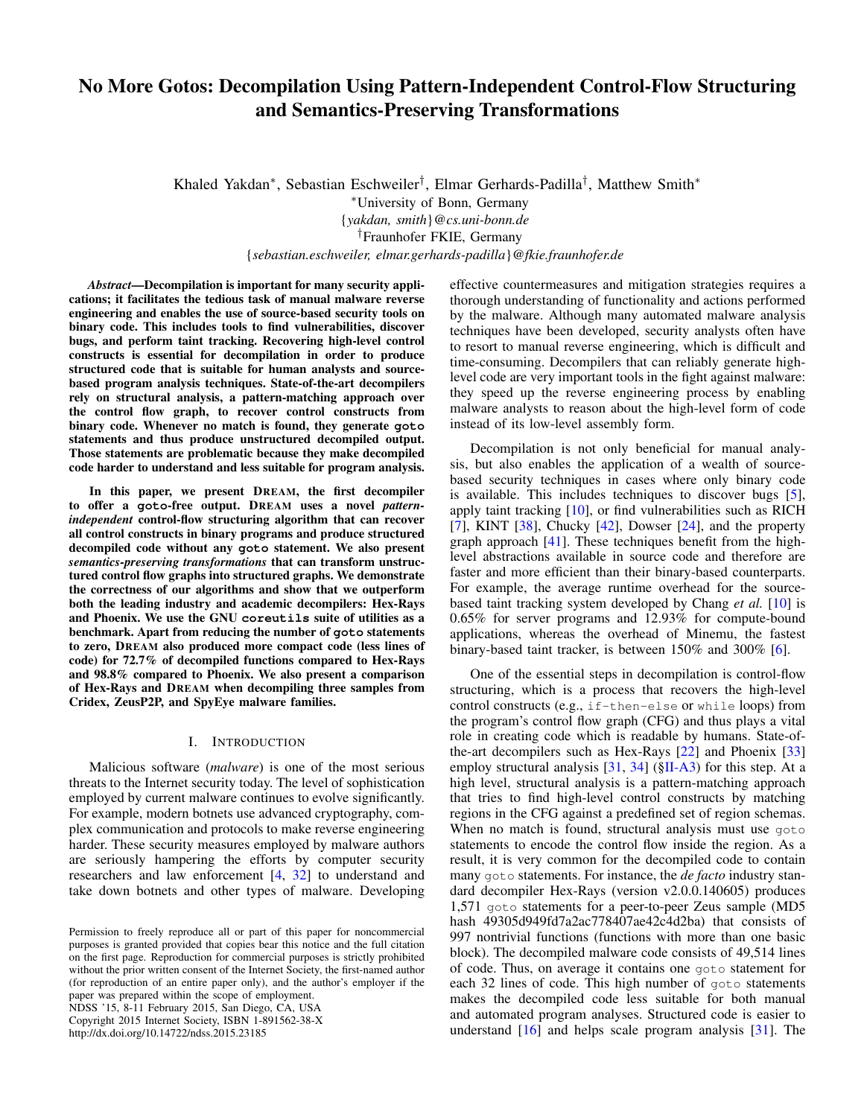# No More Gotos: Decompilation Using Pattern-Independent Control-Flow Structuring and Semantics-Preserving Transformations

Khaled Yakdan<sup>∗</sup> , Sebastian Eschweiler† , Elmar Gerhards-Padilla† , Matthew Smith<sup>∗</sup> <sup>∗</sup>University of Bonn, Germany {*yakdan, smith*}*@cs.uni-bonn.de* †Fraunhofer FKIE, Germany {*sebastian.eschweiler, elmar.gerhards-padilla*}*@fkie.fraunhofer.de*

*Abstract*—Decompilation is important for many security applications; it facilitates the tedious task of manual malware reverse engineering and enables the use of source-based security tools on binary code. This includes tools to find vulnerabilities, discover bugs, and perform taint tracking. Recovering high-level control constructs is essential for decompilation in order to produce structured code that is suitable for human analysts and sourcebased program analysis techniques. State-of-the-art decompilers rely on structural analysis, a pattern-matching approach over the control flow graph, to recover control constructs from binary code. Whenever no match is found, they generate **goto** statements and thus produce unstructured decompiled output. Those statements are problematic because they make decompiled code harder to understand and less suitable for program analysis.

In this paper, we present DREAM, the first decompiler to offer a **goto**-free output. DREAM uses a novel *patternindependent* control-flow structuring algorithm that can recover all control constructs in binary programs and produce structured decompiled code without any **goto** statement. We also present *semantics-preserving transformations* that can transform unstructured control flow graphs into structured graphs. We demonstrate the correctness of our algorithms and show that we outperform both the leading industry and academic decompilers: Hex-Rays and Phoenix. We use the GNU **coreutils** suite of utilities as a benchmark. Apart from reducing the number of **goto** statements to zero, DREAM also produced more compact code (less lines of code) for 72.7% of decompiled functions compared to Hex-Rays and 98.8% compared to Phoenix. We also present a comparison of Hex-Rays and DREAM when decompiling three samples from Cridex, ZeusP2P, and SpyEye malware families.

## I. INTRODUCTION

Malicious software (*malware*) is one of the most serious threats to the Internet security today. The level of sophistication employed by current malware continues to evolve significantly. For example, modern botnets use advanced cryptography, complex communication and protocols to make reverse engineering harder. These security measures employed by malware authors are seriously hampering the efforts by computer security researchers and law enforcement [\[4,](#page-14-0) [32\]](#page-14-1) to understand and take down botnets and other types of malware. Developing

NDSS '15, 8-11 February 2015, San Diego, CA, USA Copyright 2015 Internet Society, ISBN 1-891562-38-X http://dx.doi.org/10.14722/ndss.2015.23185

effective countermeasures and mitigation strategies requires a thorough understanding of functionality and actions performed by the malware. Although many automated malware analysis techniques have been developed, security analysts often have to resort to manual reverse engineering, which is difficult and time-consuming. Decompilers that can reliably generate highlevel code are very important tools in the fight against malware: they speed up the reverse engineering process by enabling malware analysts to reason about the high-level form of code instead of its low-level assembly form.

Decompilation is not only beneficial for manual analysis, but also enables the application of a wealth of sourcebased security techniques in cases where only binary code is available. This includes techniques to discover bugs [\[5\]](#page-14-2), apply taint tracking [\[10\]](#page-14-3), or find vulnerabilities such as RICH [\[7\]](#page-14-4), KINT  $[38]$ , Chucky  $[42]$ , Dowser  $[24]$ , and the property graph approach [\[41\]](#page-14-8). These techniques benefit from the highlevel abstractions available in source code and therefore are faster and more efficient than their binary-based counterparts. For example, the average runtime overhead for the sourcebased taint tracking system developed by Chang *et al.* [\[10\]](#page-14-3) is 0.65% for server programs and 12.93% for compute-bound applications, whereas the overhead of Minemu, the fastest binary-based taint tracker, is between 150% and 300% [\[6\]](#page-14-9).

One of the essential steps in decompilation is control-flow structuring, which is a process that recovers the high-level control constructs (e.g., if-then-else or while loops) from the program's control flow graph (CFG) and thus plays a vital role in creating code which is readable by humans. State-ofthe-art decompilers such as Hex-Rays [\[22\]](#page-14-10) and Phoenix [\[33\]](#page-14-11) employ structural analysis [\[31,](#page-14-12) [34\]](#page-14-13) ([§II-A3\)](#page-1-0) for this step. At a high level, structural analysis is a pattern-matching approach that tries to find high-level control constructs by matching regions in the CFG against a predefined set of region schemas. When no match is found, structural analysis must use goto statements to encode the control flow inside the region. As a result, it is very common for the decompiled code to contain many goto statements. For instance, the *de facto* industry standard decompiler Hex-Rays (version v2.0.0.140605) produces 1,571 goto statements for a peer-to-peer Zeus sample (MD5 hash 49305d949fd7a2ac778407ae42c4d2ba) that consists of 997 nontrivial functions (functions with more than one basic block). The decompiled malware code consists of 49,514 lines of code. Thus, on average it contains one goto statement for each 32 lines of code. This high number of goto statements makes the decompiled code less suitable for both manual and automated program analyses. Structured code is easier to understand [\[16\]](#page-14-14) and helps scale program analysis [\[31\]](#page-14-12). The

Permission to freely reproduce all or part of this paper for noncommercial purposes is granted provided that copies bear this notice and the full citation on the first page. Reproduction for commercial purposes is strictly prohibited without the prior written consent of the Internet Society, the first-named author (for reproduction of an entire paper only), and the author's employer if the paper was prepared within the scope of employment.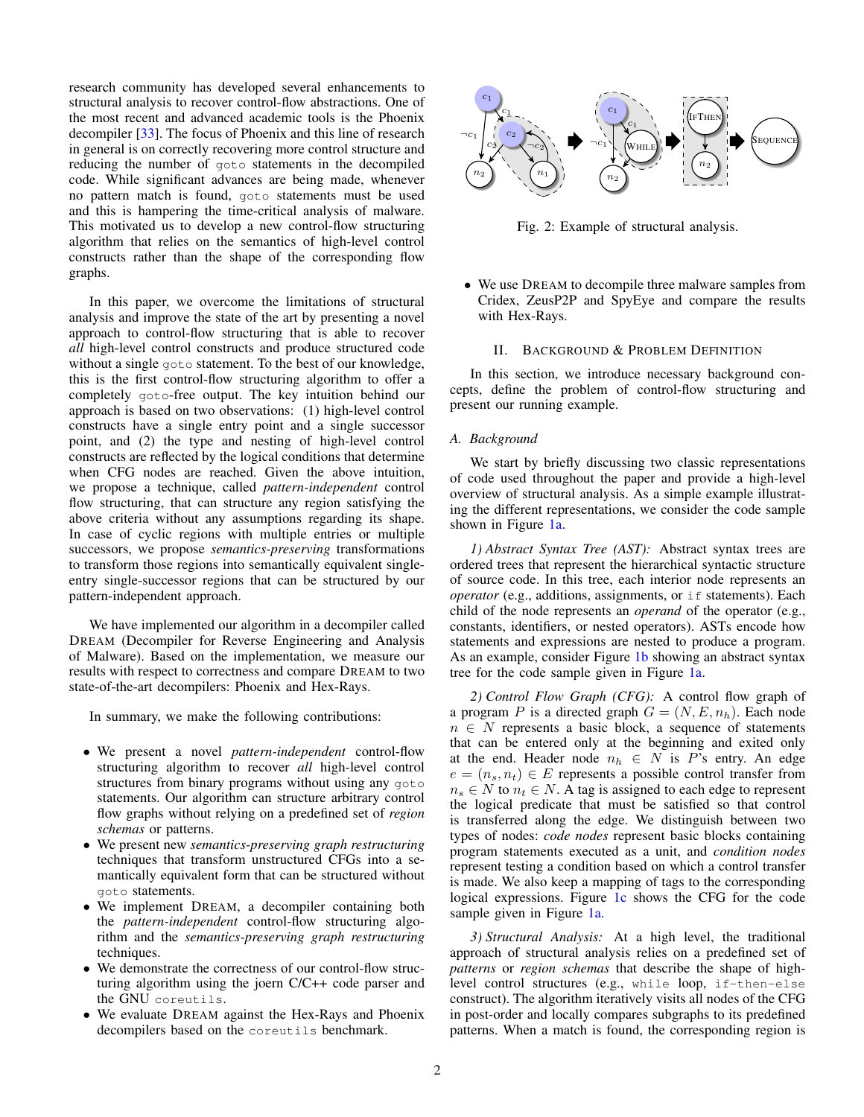research community has developed several enhancements to structural analysis to recover control-flow abstractions. One of the most recent and advanced academic tools is the Phoenix decompiler [\[33\]](#page-14-11). The focus of Phoenix and this line of research in general is on correctly recovering more control structure and reducing the number of goto statements in the decompiled code. While significant advances are being made, whenever no pattern match is found, goto statements must be used and this is hampering the time-critical analysis of malware. This motivated us to develop a new control-flow structuring algorithm that relies on the semantics of high-level control constructs rather than the shape of the corresponding flow graphs.

In this paper, we overcome the limitations of structural analysis and improve the state of the art by presenting a novel approach to control-flow structuring that is able to recover *all* high-level control constructs and produce structured code without a single goto statement. To the best of our knowledge, this is the first control-flow structuring algorithm to offer a completely goto-free output. The key intuition behind our approach is based on two observations: (1) high-level control constructs have a single entry point and a single successor point, and (2) the type and nesting of high-level control constructs are reflected by the logical conditions that determine when CFG nodes are reached. Given the above intuition, we propose a technique, called *pattern-independent* control flow structuring, that can structure any region satisfying the above criteria without any assumptions regarding its shape. In case of cyclic regions with multiple entries or multiple successors, we propose *semantics-preserving* transformations to transform those regions into semantically equivalent singleentry single-successor regions that can be structured by our pattern-independent approach.

We have implemented our algorithm in a decompiler called DREAM (Decompiler for Reverse Engineering and Analysis of Malware). Based on the implementation, we measure our results with respect to correctness and compare DREAM to two state-of-the-art decompilers: Phoenix and Hex-Rays.

In summary, we make the following contributions:

- We present a novel *pattern-independent* control-flow structuring algorithm to recover *all* high-level control structures from binary programs without using any goto statements. Our algorithm can structure arbitrary control flow graphs without relying on a predefined set of *region schemas* or patterns.
- We present new *semantics-preserving graph restructuring* techniques that transform unstructured CFGs into a semantically equivalent form that can be structured without goto statements.
- We implement DREAM, a decompiler containing both the *pattern-independent* control-flow structuring algorithm and the *semantics-preserving graph restructuring* techniques.
- We demonstrate the correctness of our control-flow structuring algorithm using the joern C/C++ code parser and the GNU coreutils.
- We evaluate DREAM against the Hex-Rays and Phoenix decompilers based on the coreutils benchmark.

<span id="page-1-1"></span>

Fig. 2: Example of structural analysis.

• We use DREAM to decompile three malware samples from Cridex, ZeusP2P and SpyEye and compare the results with Hex-Rays.

## II. BACKGROUND & PROBLEM DEFINITION

In this section, we introduce necessary background concepts, define the problem of control-flow structuring and present our running example.

#### *A. Background*

We start by briefly discussing two classic representations of code used throughout the paper and provide a high-level overview of structural analysis. As a simple example illustrating the different representations, we consider the code sample shown in Figure [1a.](#page-2-0)

*1) Abstract Syntax Tree (AST):* Abstract syntax trees are ordered trees that represent the hierarchical syntactic structure of source code. In this tree, each interior node represents an *operator* (e.g., additions, assignments, or if statements). Each child of the node represents an *operand* of the operator (e.g., constants, identifiers, or nested operators). ASTs encode how statements and expressions are nested to produce a program. As an example, consider Figure [1b](#page-2-0) showing an abstract syntax tree for the code sample given in Figure [1a.](#page-2-0)

*2) Control Flow Graph (CFG):* A control flow graph of a program P is a directed graph  $G = (N, E, n_h)$ . Each node  $n \in N$  represents a basic block, a sequence of statements that can be entered only at the beginning and exited only at the end. Header node  $n_h \in N$  is P's entry. An edge  $e = (n_s, n_t) \in E$  represents a possible control transfer from  $n_s \in N$  to  $n_t \in N$ . A tag is assigned to each edge to represent the logical predicate that must be satisfied so that control is transferred along the edge. We distinguish between two types of nodes: *code nodes* represent basic blocks containing program statements executed as a unit, and *condition nodes* represent testing a condition based on which a control transfer is made. We also keep a mapping of tags to the corresponding logical expressions. Figure [1c](#page-2-0) shows the CFG for the code sample given in Figure [1a.](#page-2-0)

<span id="page-1-0"></span>*3) Structural Analysis:* At a high level, the traditional approach of structural analysis relies on a predefined set of *patterns* or *region schemas* that describe the shape of highlevel control structures (e.g., while loop, if-then-else construct). The algorithm iteratively visits all nodes of the CFG in post-order and locally compares subgraphs to its predefined patterns. When a match is found, the corresponding region is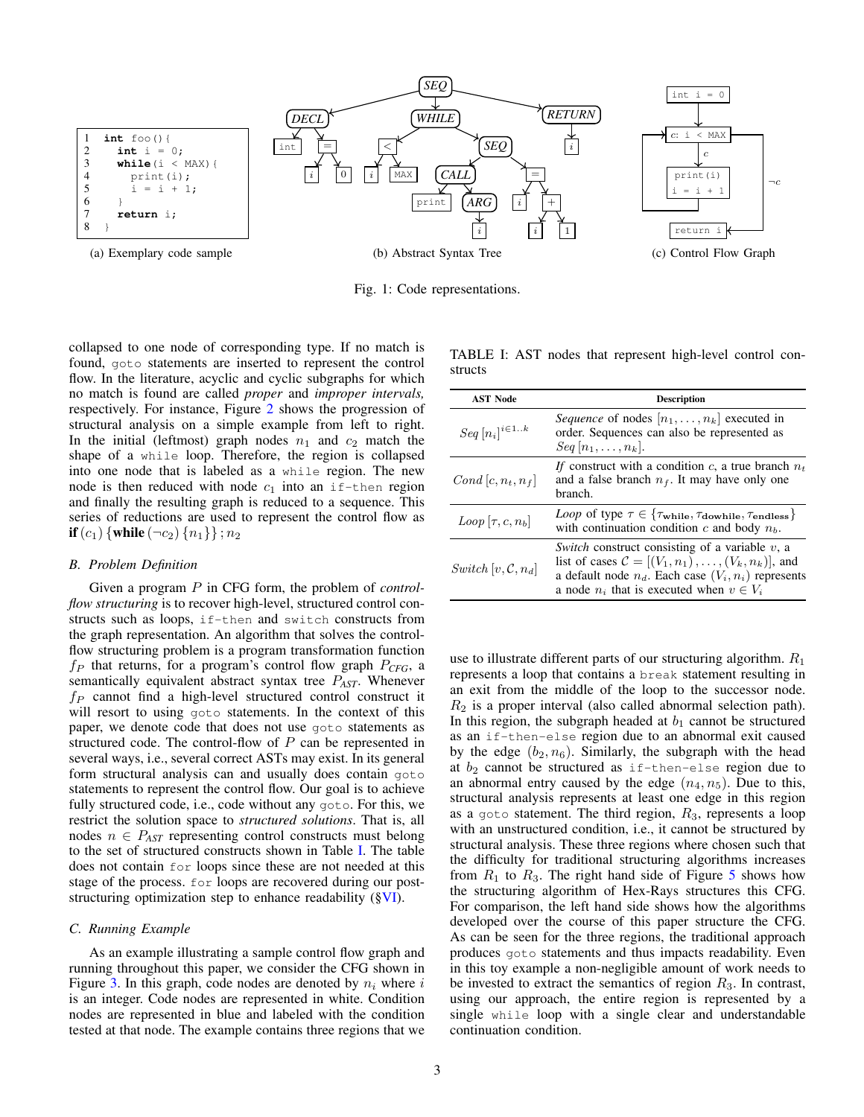<span id="page-2-0"></span>

Fig. 1: Code representations.

collapsed to one node of corresponding type. If no match is found, goto statements are inserted to represent the control flow. In the literature, acyclic and cyclic subgraphs for which no match is found are called *proper* and *improper intervals,* respectively. For instance, Figure [2](#page-1-1) shows the progression of structural analysis on a simple example from left to right. In the initial (leftmost) graph nodes  $n_1$  and  $c_2$  match the shape of a while loop. Therefore, the region is collapsed into one node that is labeled as a while region. The new node is then reduced with node  $c_1$  into an if-then region and finally the resulting graph is reduced to a sequence. This series of reductions are used to represent the control flow as **if**  $(c_1)$  {**while**  $(\neg c_2)$  { $n_1$ } };  $n_2$ 

#### <span id="page-2-2"></span>*B. Problem Definition*

Given a program P in CFG form, the problem of *controlflow structuring* is to recover high-level, structured control constructs such as loops, if-then and switch constructs from the graph representation. An algorithm that solves the controlflow structuring problem is a program transformation function  $f_P$  that returns, for a program's control flow graph  $P_{CFG}$ , a semantically equivalent abstract syntax tree P*AST*. Whenever  $f_P$  cannot find a high-level structured control construct it will resort to using goto statements. In the context of this paper, we denote code that does not use goto statements as structured code. The control-flow of  $P$  can be represented in several ways, i.e., several correct ASTs may exist. In its general form structural analysis can and usually does contain goto statements to represent the control flow. Our goal is to achieve fully structured code, i.e., code without any goto. For this, we restrict the solution space to *structured solutions*. That is, all nodes  $n \in P_{AST}$  representing control constructs must belong to the set of structured constructs shown in Table [I.](#page-2-1) The table does not contain for loops since these are not needed at this stage of the process. for loops are recovered during our poststructuring optimization step to enhance readability ([§VI\)](#page-9-0).

## *C. Running Example*

As an example illustrating a sample control flow graph and running throughout this paper, we consider the CFG shown in Figure [3.](#page-3-0) In this graph, code nodes are denoted by  $n_i$  where i is an integer. Code nodes are represented in white. Condition nodes are represented in blue and labeled with the condition tested at that node. The example contains three regions that we

<span id="page-2-1"></span>TABLE I: AST nodes that represent high-level control constructs

| <b>AST Node</b>                | <b>Description</b>                                                                                                                                                                                                                      |  |  |  |  |
|--------------------------------|-----------------------------------------------------------------------------------------------------------------------------------------------------------------------------------------------------------------------------------------|--|--|--|--|
| $Seq[n_i]^{i\in 1k}$           | <i>Sequence</i> of nodes $[n_1, \ldots, n_k]$ executed in<br>order. Sequences can also be represented as<br>$Seq[n_1,\ldots,n_k].$                                                                                                      |  |  |  |  |
| Cond $[c, n_t, n_f]$           | If construct with a condition c, a true branch $n_t$<br>and a false branch $n_f$ . It may have only one<br>branch.                                                                                                                      |  |  |  |  |
| $Loop [\tau, c, n_b]$          | <i>Loop</i> of type $\tau \in \{\tau_{\text{while}}, \tau_{\text{double}}, \tau_{\text{endless}}\}$<br>with continuation condition c and body $n_b$ .                                                                                   |  |  |  |  |
| Switch $[v, \mathcal{C}, n_d]$ | Switch construct consisting of a variable $v$ , a<br>list of cases $\mathcal{C} = [(V_1, n_1), \ldots, (V_k, n_k)]$ , and<br>a default node $n_d$ . Each case $(V_i, n_i)$ represents<br>a node $n_i$ that is executed when $v \in V_i$ |  |  |  |  |

use to illustrate different parts of our structuring algorithm.  $R_1$ represents a loop that contains a break statement resulting in an exit from the middle of the loop to the successor node.  $R_2$  is a proper interval (also called abnormal selection path). In this region, the subgraph headed at  $b_1$  cannot be structured as an if-then-else region due to an abnormal exit caused by the edge  $(b_2, n_6)$ . Similarly, the subgraph with the head at  $b_2$  cannot be structured as if-then-else region due to an abnormal entry caused by the edge  $(n_4, n_5)$ . Due to this, structural analysis represents at least one edge in this region as a goto statement. The third region,  $R_3$ , represents a loop with an unstructured condition, i.e., it cannot be structured by structural analysis. These three regions where chosen such that the difficulty for traditional structuring algorithms increases from  $R_1$  to  $R_3$ . The right hand side of Figure [5](#page-3-1) shows how the structuring algorithm of Hex-Rays structures this CFG. For comparison, the left hand side shows how the algorithms developed over the course of this paper structure the CFG. As can be seen for the three regions, the traditional approach produces goto statements and thus impacts readability. Even in this toy example a non-negligible amount of work needs to be invested to extract the semantics of region  $R_3$ . In contrast, using our approach, the entire region is represented by a single while loop with a single clear and understandable continuation condition.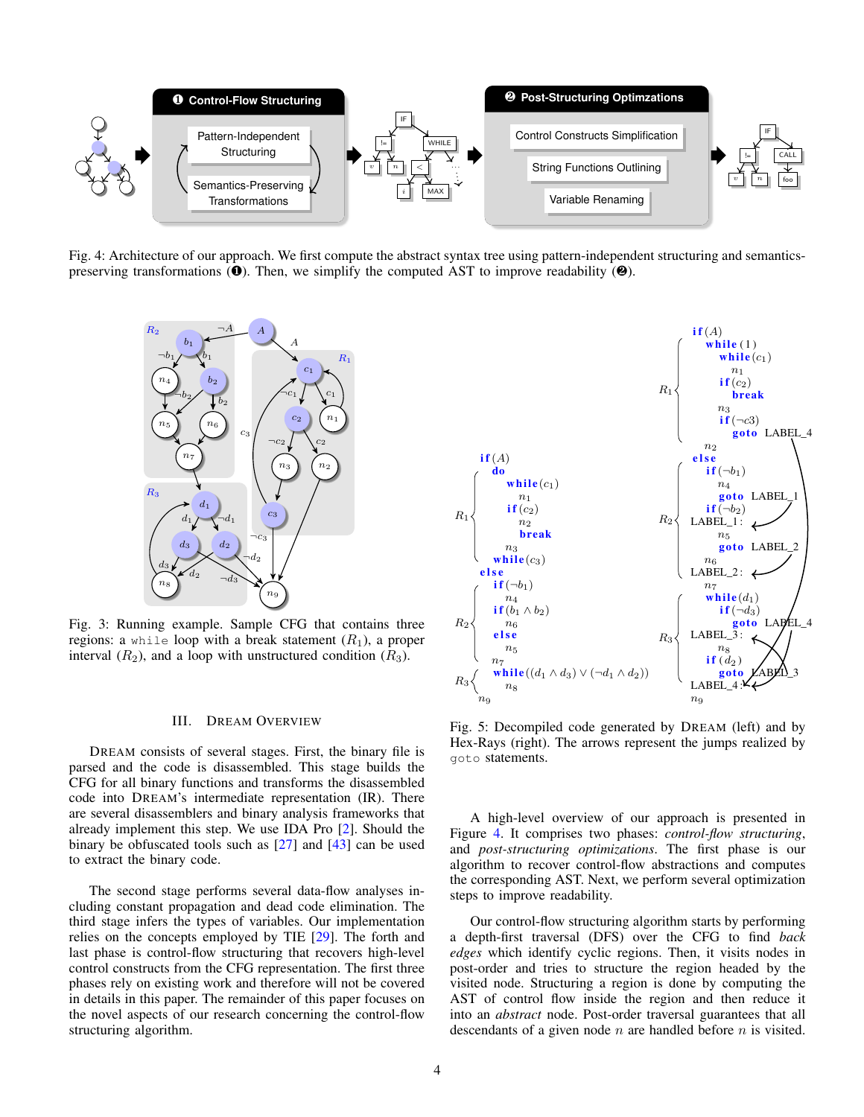<span id="page-3-2"></span>

<span id="page-3-0"></span>Fig. 4: Architecture of our approach. We first compute the abstract syntax tree using pattern-independent structuring and semanticspreserving transformations  $(\mathbf{0})$ . Then, we simplify the computed AST to improve readability  $(\mathbf{0})$ .



Fig. 3: Running example. Sample CFG that contains three regions: a while loop with a break statement  $(R_1)$ , a proper interval  $(R_2)$ , and a loop with unstructured condition  $(R_3)$ .

## III. DREAM OVERVIEW

DREAM consists of several stages. First, the binary file is parsed and the code is disassembled. This stage builds the CFG for all binary functions and transforms the disassembled code into DREAM's intermediate representation (IR). There are several disassemblers and binary analysis frameworks that already implement this step. We use IDA Pro [\[2\]](#page-14-15). Should the binary be obfuscated tools such as  $[27]$  and  $[43]$  can be used to extract the binary code.

The second stage performs several data-flow analyses including constant propagation and dead code elimination. The third stage infers the types of variables. Our implementation relies on the concepts employed by TIE [\[29\]](#page-14-18). The forth and last phase is control-flow structuring that recovers high-level control constructs from the CFG representation. The first three phases rely on existing work and therefore will not be covered in details in this paper. The remainder of this paper focuses on the novel aspects of our research concerning the control-flow structuring algorithm.

<span id="page-3-1"></span>

Fig. 5: Decompiled code generated by DREAM (left) and by Hex-Rays (right). The arrows represent the jumps realized by goto statements.

A high-level overview of our approach is presented in Figure [4.](#page-3-2) It comprises two phases: *control-flow structuring*, and *post-structuring optimizations*. The first phase is our algorithm to recover control-flow abstractions and computes the corresponding AST. Next, we perform several optimization steps to improve readability.

Our control-flow structuring algorithm starts by performing a depth-first traversal (DFS) over the CFG to find *back edges* which identify cyclic regions. Then, it visits nodes in post-order and tries to structure the region headed by the visited node. Structuring a region is done by computing the AST of control flow inside the region and then reduce it into an *abstract* node. Post-order traversal guarantees that all descendants of a given node  $n$  are handled before  $n$  is visited.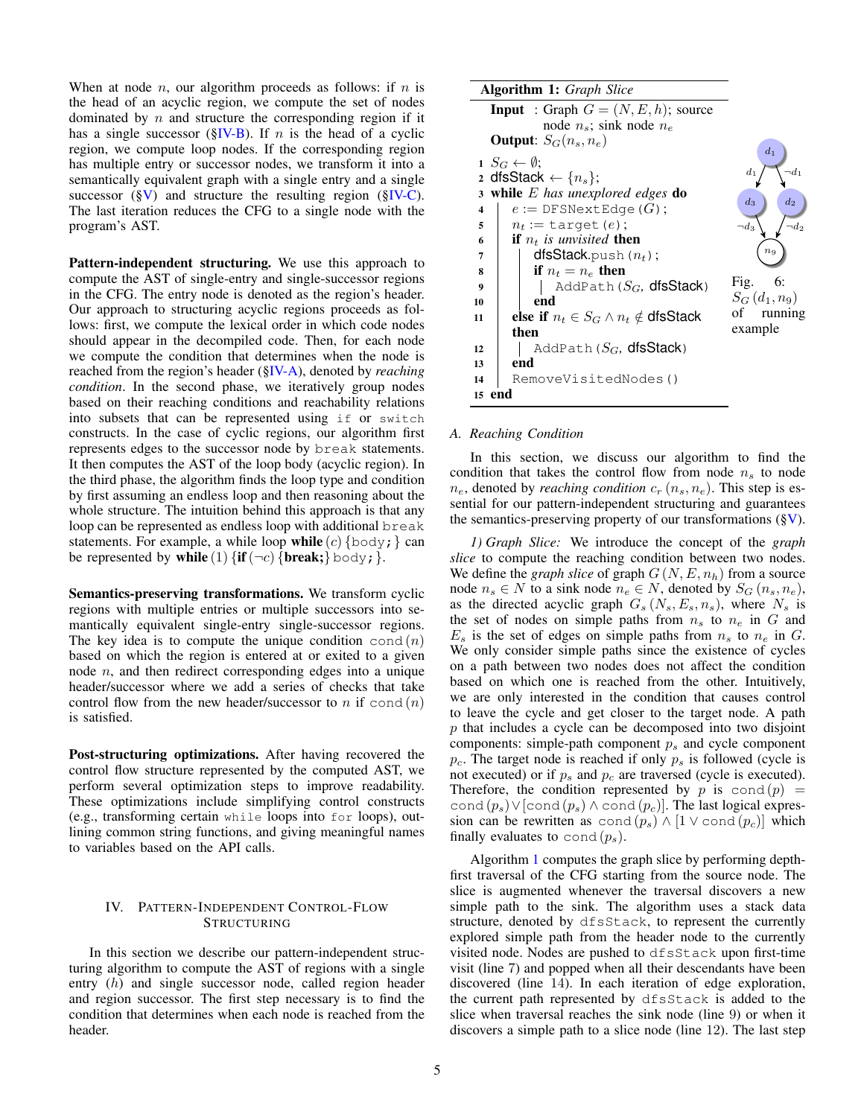When at node *n*, our algorithm proceeds as follows: if *n* is the head of an acyclic region, we compute the set of nodes dominated by  $n$  and structure the corresponding region if it has a single successor ( $\S$ IV-B). If *n* is the head of a cyclic region, we compute loop nodes. If the corresponding region has multiple entry or successor nodes, we transform it into a semantically equivalent graph with a single entry and a single successor  $(\S{V})$  and structure the resulting region  $(\S{IV-C})$ . The last iteration reduces the CFG to a single node with the program's AST.

Pattern-independent structuring. We use this approach to compute the AST of single-entry and single-successor regions in the CFG. The entry node is denoted as the region's header. Our approach to structuring acyclic regions proceeds as follows: first, we compute the lexical order in which code nodes should appear in the decompiled code. Then, for each node we compute the condition that determines when the node is reached from the region's header ([§IV-A\)](#page-4-0), denoted by *reaching condition*. In the second phase, we iteratively group nodes based on their reaching conditions and reachability relations into subsets that can be represented using if or switch constructs. In the case of cyclic regions, our algorithm first represents edges to the successor node by break statements. It then computes the AST of the loop body (acyclic region). In the third phase, the algorithm finds the loop type and condition by first assuming an endless loop and then reasoning about the whole structure. The intuition behind this approach is that any loop can be represented as endless loop with additional break statements. For example, a while loop while  $(c)$  {body; } can be represented by while (1)  $\{ \text{if}(\neg c) \{ \text{break}; \} \text{body}; \}.$ 

Semantics-preserving transformations. We transform cyclic regions with multiple entries or multiple successors into semantically equivalent single-entry single-successor regions. The key idea is to compute the unique condition cond  $(n)$ based on which the region is entered at or exited to a given node  $n$ , and then redirect corresponding edges into a unique header/successor where we add a series of checks that take control flow from the new header/successor to n if cond  $(n)$ is satisfied.

Post-structuring optimizations. After having recovered the control flow structure represented by the computed AST, we perform several optimization steps to improve readability. These optimizations include simplifying control constructs (e.g., transforming certain while loops into for loops), outlining common string functions, and giving meaningful names to variables based on the API calls.

# IV. PATTERN-INDEPENDENT CONTROL-FLOW STRUCTURING

In this section we describe our pattern-independent structuring algorithm to compute the AST of regions with a single entry (h) and single successor node, called region header and region successor. The first step necessary is to find the condition that determines when each node is reached from the header.

<span id="page-4-2"></span>

|                         | <b>Algorithm 1:</b> Graph Slice                  |                 |
|-------------------------|--------------------------------------------------|-----------------|
|                         | <b>Input</b> : Graph $G = (N, E, h)$ ; source    |                 |
|                         | node $n_s$ ; sink node $n_e$                     |                 |
|                         | <b>Output:</b> $S_G(n_s, n_e)$                   | $d_1$           |
|                         | $1 S_G \leftarrow \emptyset$ ;                   |                 |
|                         | 2 dfsStack $\leftarrow \{n_s\};$                 | $d_1$           |
| 3                       | while $E$ has unexplored edges do                | $d_2$<br>$d_3$  |
| $\overline{\mathbf{4}}$ | $e :=$ DFSNextEdge( $G$ );                       |                 |
| 5                       | $n_t := \text{target}(e)$ ;                      | $\neg d_3$      |
| 6                       | <b>if</b> $n_t$ is unvisited <b>then</b>         |                 |
| 7                       | ${\sf dfsStack}$ .push $(n_t)$ ;                 | $n_{9}$         |
| 8                       | if $n_t = n_e$ then                              |                 |
| 9                       | AddPath $(S_G,$ dfsStack)                        | Fig. $6:$       |
| 10                      | end                                              | $S_G(d_1, n_9)$ |
| 11                      | else if $n_t \in S_G \wedge n_t \notin$ dfsStack | of running      |
|                         | then                                             | example         |
| 12                      | AddPath $(S_G,$ dfsStack)                        |                 |
| 13                      | end                                              |                 |
| 14                      | RemoveVisitedNodes()                             |                 |
| 15                      | end                                              |                 |

#### <span id="page-4-1"></span><span id="page-4-0"></span>*A. Reaching Condition*

In this section, we discuss our algorithm to find the condition that takes the control flow from node  $n<sub>s</sub>$  to node  $n_e$ , denoted by *reaching condition*  $c_r$   $(n_s, n_e)$ . This step is essential for our pattern-independent structuring and guarantees the semantics-preserving property of our transformations  $(\S{V})$ .

*1) Graph Slice:* We introduce the concept of the *graph slice* to compute the reaching condition between two nodes. We define the *graph slice* of graph  $G(N, E, n_h)$  from a source node  $n_s$  ∈ N to a sink node  $n_e$  ∈ N, denoted by  $S_G(n_s, n_e)$ , as the directed acyclic graph  $G_s(N_s, E_s, n_s)$ , where  $N_s$  is the set of nodes on simple paths from  $n<sub>s</sub>$  to  $n<sub>e</sub>$  in G and  $E_s$  is the set of edges on simple paths from  $n_s$  to  $n_e$  in G. We only consider simple paths since the existence of cycles on a path between two nodes does not affect the condition based on which one is reached from the other. Intuitively, we are only interested in the condition that causes control to leave the cycle and get closer to the target node. A path p that includes a cycle can be decomposed into two disjoint components: simple-path component  $p<sub>s</sub>$  and cycle component  $p_c$ . The target node is reached if only  $p_s$  is followed (cycle is not executed) or if  $p_s$  and  $p_c$  are traversed (cycle is executed). Therefore, the condition represented by p is  $\text{cond}(p) =$ cond  $(p_s)$ ∨[cond  $(p_s)$  ∧ cond  $(p_c)$ ]. The last logical expression can be rewritten as cond  $(p_s) \wedge [1 \vee \text{cond}(p_c)]$  which finally evaluates to cond  $(p_s)$ .

Algorithm [1](#page-4-1) computes the graph slice by performing depthfirst traversal of the CFG starting from the source node. The slice is augmented whenever the traversal discovers a new simple path to the sink. The algorithm uses a stack data structure, denoted by dfsStack, to represent the currently explored simple path from the header node to the currently visited node. Nodes are pushed to dfsStack upon first-time visit (line 7) and popped when all their descendants have been discovered (line 14). In each iteration of edge exploration, the current path represented by dfsStack is added to the slice when traversal reaches the sink node (line 9) or when it discovers a simple path to a slice node (line 12). The last step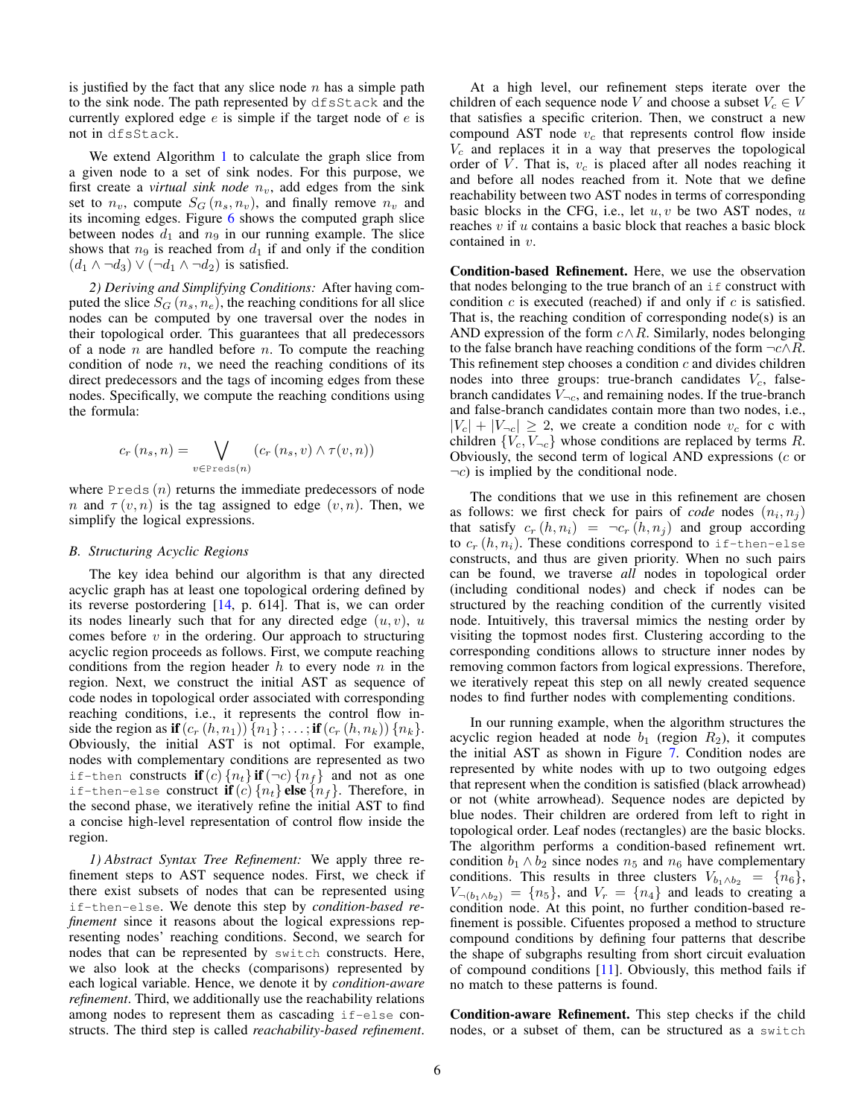is justified by the fact that any slice node  $n$  has a simple path to the sink node. The path represented by dfsStack and the currently explored edge  $e$  is simple if the target node of  $e$  is not in dfsStack.

We extend Algorithm [1](#page-4-1) to calculate the graph slice from a given node to a set of sink nodes. For this purpose, we first create a *virtual sink node*  $n_v$ , add edges from the sink set to  $n_v$ , compute  $S_G(n_s, n_v)$ , and finally remove  $n_v$  and its incoming edges. Figure [6](#page-4-2) shows the computed graph slice between nodes  $d_1$  and  $n_9$  in our running example. The slice shows that  $n_9$  is reached from  $d_1$  if and only if the condition  $(d_1 \wedge \neg d_3) \vee (\neg d_1 \wedge \neg d_2)$  is satisfied.

*2) Deriving and Simplifying Conditions:* After having computed the slice  $S_G(n_s, n_e)$ , the reaching conditions for all slice nodes can be computed by one traversal over the nodes in their topological order. This guarantees that all predecessors of a node  $n$  are handled before  $n$ . To compute the reaching condition of node  $n$ , we need the reaching conditions of its direct predecessors and the tags of incoming edges from these nodes. Specifically, we compute the reaching conditions using the formula:

$$
c_r(n_s, n) = \bigvee_{v \in \text{Preds}(n)} (c_r(n_s, v) \wedge \tau(v, n))
$$

where  $P_{\text{reds}}(n)$  returns the immediate predecessors of node n and  $\tau(v, n)$  is the tag assigned to edge  $(v, n)$ . Then, we simplify the logical expressions.

#### <span id="page-5-0"></span>*B. Structuring Acyclic Regions*

The key idea behind our algorithm is that any directed acyclic graph has at least one topological ordering defined by its reverse postordering [\[14,](#page-14-19) p. 614]. That is, we can order its nodes linearly such that for any directed edge  $(u, v)$ , u comes before  $v$  in the ordering. Our approach to structuring acyclic region proceeds as follows. First, we compute reaching conditions from the region header  $h$  to every node  $n$  in the region. Next, we construct the initial AST as sequence of code nodes in topological order associated with corresponding reaching conditions, i.e., it represents the control flow inside the region as if  $(c_r(h, n_1)) \{n_1\}$ ; ...; if  $(c_r(h, n_k)) \{n_k\}$ . Obviously, the initial AST is not optimal. For example, nodes with complementary conditions are represented as two if-then constructs if  $(c)$   $\{n_t\}$  if  $(\neg c)$   $\{n_f\}$  and not as one if-then-else construct **if** (c)  $\{n_t\}$  **else**  $\{n_f\}$ . Therefore, in the second phase, we iteratively refine the initial AST to find a concise high-level representation of control flow inside the region.

*1) Abstract Syntax Tree Refinement:* We apply three refinement steps to AST sequence nodes. First, we check if there exist subsets of nodes that can be represented using if-then-else. We denote this step by *condition-based refinement* since it reasons about the logical expressions representing nodes' reaching conditions. Second, we search for nodes that can be represented by switch constructs. Here, we also look at the checks (comparisons) represented by each logical variable. Hence, we denote it by *condition-aware refinement*. Third, we additionally use the reachability relations among nodes to represent them as cascading if-else constructs. The third step is called *reachability-based refinement*.

At a high level, our refinement steps iterate over the children of each sequence node V and choose a subset  $V_c \in V$ that satisfies a specific criterion. Then, we construct a new compound AST node  $v_c$  that represents control flow inside  $V_c$  and replaces it in a way that preserves the topological order of  $V$ . That is,  $v_c$  is placed after all nodes reaching it and before all nodes reached from it. Note that we define reachability between two AST nodes in terms of corresponding basic blocks in the CFG, i.e., let  $u, v$  be two AST nodes,  $u$ reaches  $v$  if  $u$  contains a basic block that reaches a basic block contained in v.

Condition-based Refinement. Here, we use the observation that nodes belonging to the true branch of an  $if$  construct with condition  $c$  is executed (reached) if and only if  $c$  is satisfied. That is, the reaching condition of corresponding node(s) is an AND expression of the form  $c \wedge R$ . Similarly, nodes belonging to the false branch have reaching conditions of the form  $\neg c \land R$ . This refinement step chooses a condition  $c$  and divides children nodes into three groups: true-branch candidates  $V_c$ , falsebranch candidates  $V_{\neg c}$ , and remaining nodes. If the true-branch and false-branch candidates contain more than two nodes, i.e.,  $|V_c| + |V_{\neg c}| \geq 2$ , we create a condition node  $v_c$  for c with children  $\{V_c, V_{\neg c}\}\$  whose conditions are replaced by terms R. Obviously, the second term of logical AND expressions  $(c \text{ or } c)$  $\neg c$ ) is implied by the conditional node.

The conditions that we use in this refinement are chosen as follows: we first check for pairs of *code* nodes  $(n_i, n_j)$ that satisfy  $c_r(h, n_i) = \neg c_r(h, n_i)$  and group according to  $c_r(h, n_i)$ . These conditions correspond to if-then-else constructs, and thus are given priority. When no such pairs can be found, we traverse *all* nodes in topological order (including conditional nodes) and check if nodes can be structured by the reaching condition of the currently visited node. Intuitively, this traversal mimics the nesting order by visiting the topmost nodes first. Clustering according to the corresponding conditions allows to structure inner nodes by removing common factors from logical expressions. Therefore, we iteratively repeat this step on all newly created sequence nodes to find further nodes with complementing conditions.

In our running example, when the algorithm structures the acyclic region headed at node  $b_1$  (region  $R_2$ ), it computes the initial AST as shown in Figure [7.](#page-6-1) Condition nodes are represented by white nodes with up to two outgoing edges that represent when the condition is satisfied (black arrowhead) or not (white arrowhead). Sequence nodes are depicted by blue nodes. Their children are ordered from left to right in topological order. Leaf nodes (rectangles) are the basic blocks. The algorithm performs a condition-based refinement wrt. condition  $b_1 \wedge b_2$  since nodes  $n_5$  and  $n_6$  have complementary conditions. This results in three clusters  $V_{b_1 \wedge b_2} = \{n_6\},\$  $V_{\neg (b_1 \wedge b_2)} = \{n_5\}$ , and  $V_r = \{n_4\}$  and leads to creating a condition node. At this point, no further condition-based refinement is possible. Cifuentes proposed a method to structure compound conditions by defining four patterns that describe the shape of subgraphs resulting from short circuit evaluation of compound conditions [\[11\]](#page-14-20). Obviously, this method fails if no match to these patterns is found.

Condition-aware Refinement. This step checks if the child nodes, or a subset of them, can be structured as a switch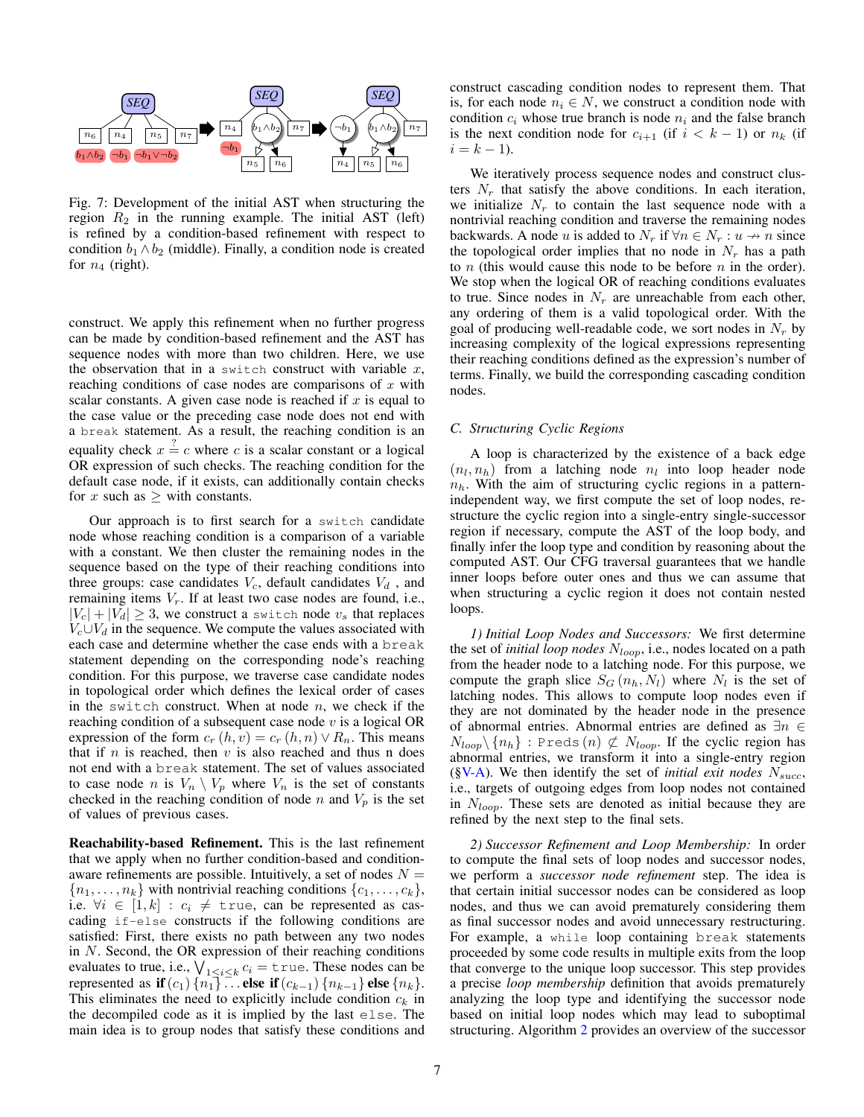<span id="page-6-1"></span>

Fig. 7: Development of the initial AST when structuring the region  $R_2$  in the running example. The initial AST (left) is refined by a condition-based refinement with respect to condition  $b_1 \wedge b_2$  (middle). Finally, a condition node is created for  $n_4$  (right).

construct. We apply this refinement when no further progress can be made by condition-based refinement and the AST has sequence nodes with more than two children. Here, we use the observation that in a switch construct with variable  $x$ , reaching conditions of case nodes are comparisons of  $x$  with scalar constants. A given case node is reached if  $x$  is equal to the case value or the preceding case node does not end with a break statement. As a result, the reaching condition is an equality check  $x = c$  where c is a scalar constant or a logical OR expression of such checks. The reaching condition for the default case node, if it exists, can additionally contain checks for x such as  $\geq$  with constants.

Our approach is to first search for a switch candidate node whose reaching condition is a comparison of a variable with a constant. We then cluster the remaining nodes in the sequence based on the type of their reaching conditions into three groups: case candidates  $V_c$ , default candidates  $V_d$ , and remaining items  $V_r$ . If at least two case nodes are found, i.e.,  $|V_c| + |V_d| \geq 3$ , we construct a switch node  $v_s$  that replaces  $V_c \cup V_d$  in the sequence. We compute the values associated with each case and determine whether the case ends with a break statement depending on the corresponding node's reaching condition. For this purpose, we traverse case candidate nodes in topological order which defines the lexical order of cases in the switch construct. When at node  $n$ , we check if the reaching condition of a subsequent case node  $v$  is a logical OR expression of the form  $c_r (h, v) = c_r (h, n) \vee R_n$ . This means that if  $n$  is reached, then  $v$  is also reached and thus n does not end with a break statement. The set of values associated to case node n is  $V_n \setminus V_p$  where  $V_n$  is the set of constants checked in the reaching condition of node n and  $V_p$  is the set of values of previous cases.

Reachability-based Refinement. This is the last refinement that we apply when no further condition-based and conditionaware refinements are possible. Intuitively, a set of nodes  $N =$  ${n_1, \ldots, n_k}$  with nontrivial reaching conditions  ${c_1, \ldots, c_k}$ , i.e.  $\forall i \in [1, k] : c_i \neq \text{true}$ , can be represented as cascading if-else constructs if the following conditions are satisfied: First, there exists no path between any two nodes in N. Second, the OR expression of their reaching conditions evaluates to true, i.e.,  $\bigvee_{1\leq i\leq k}c_i=$  true. These nodes can be represented as if  $(c_1)$  { $n_1$ } ... else if  $(c_{k-1})$  { $n_{k-1}$ } else { $n_k$ }. This eliminates the need to explicitly include condition  $c_k$  in the decompiled code as it is implied by the last else. The main idea is to group nodes that satisfy these conditions and

construct cascading condition nodes to represent them. That is, for each node  $n_i \in N$ , we construct a condition node with condition  $c_i$  whose true branch is node  $n_i$  and the false branch is the next condition node for  $c_{i+1}$  (if  $i < k - 1$ ) or  $n_k$  (if  $i = k - 1$ .

We iteratively process sequence nodes and construct clusters  $N_r$  that satisfy the above conditions. In each iteration, we initialize  $N_r$  to contain the last sequence node with a nontrivial reaching condition and traverse the remaining nodes backwards. A node u is added to  $N_r$  if  $\forall n \in N_r : u \rightarrow n$  since the topological order implies that no node in  $N_r$  has a path to *n* (this would cause this node to be before *n* in the order). We stop when the logical OR of reaching conditions evaluates to true. Since nodes in  $N_r$  are unreachable from each other, any ordering of them is a valid topological order. With the goal of producing well-readable code, we sort nodes in  $N_r$  by increasing complexity of the logical expressions representing their reaching conditions defined as the expression's number of terms. Finally, we build the corresponding cascading condition nodes.

## <span id="page-6-0"></span>*C. Structuring Cyclic Regions*

A loop is characterized by the existence of a back edge  $(n_l, n_h)$  from a latching node  $n_l$  into loop header node  $n_h$ . With the aim of structuring cyclic regions in a patternindependent way, we first compute the set of loop nodes, restructure the cyclic region into a single-entry single-successor region if necessary, compute the AST of the loop body, and finally infer the loop type and condition by reasoning about the computed AST. Our CFG traversal guarantees that we handle inner loops before outer ones and thus we can assume that when structuring a cyclic region it does not contain nested loops.

<span id="page-6-2"></span>*1) Initial Loop Nodes and Successors:* We first determine the set of *initial loop nodes* N<sub>loop</sub>, i.e., nodes located on a path from the header node to a latching node. For this purpose, we compute the graph slice  $S_G(n_h, N_l)$  where  $N_l$  is the set of latching nodes. This allows to compute loop nodes even if they are not dominated by the header node in the presence of abnormal entries. Abnormal entries are defined as ∃n ∈  $N_{loop} \setminus \{n_h\}$ : Preds  $(n) \not\subset N_{loop}$ . If the cyclic region has abnormal entries, we transform it into a single-entry region ( $\gamma$ V-A). We then identify the set of *initial exit nodes*  $N_{succ}$ , i.e., targets of outgoing edges from loop nodes not contained in  $N_{loop}$ . These sets are denoted as initial because they are refined by the next step to the final sets.

<span id="page-6-3"></span>*2) Successor Refinement and Loop Membership:* In order to compute the final sets of loop nodes and successor nodes, we perform a *successor node refinement* step. The idea is that certain initial successor nodes can be considered as loop nodes, and thus we can avoid prematurely considering them as final successor nodes and avoid unnecessary restructuring. For example, a while loop containing break statements proceeded by some code results in multiple exits from the loop that converge to the unique loop successor. This step provides a precise *loop membership* definition that avoids prematurely analyzing the loop type and identifying the successor node based on initial loop nodes which may lead to suboptimal structuring. Algorithm [2](#page-7-0) provides an overview of the successor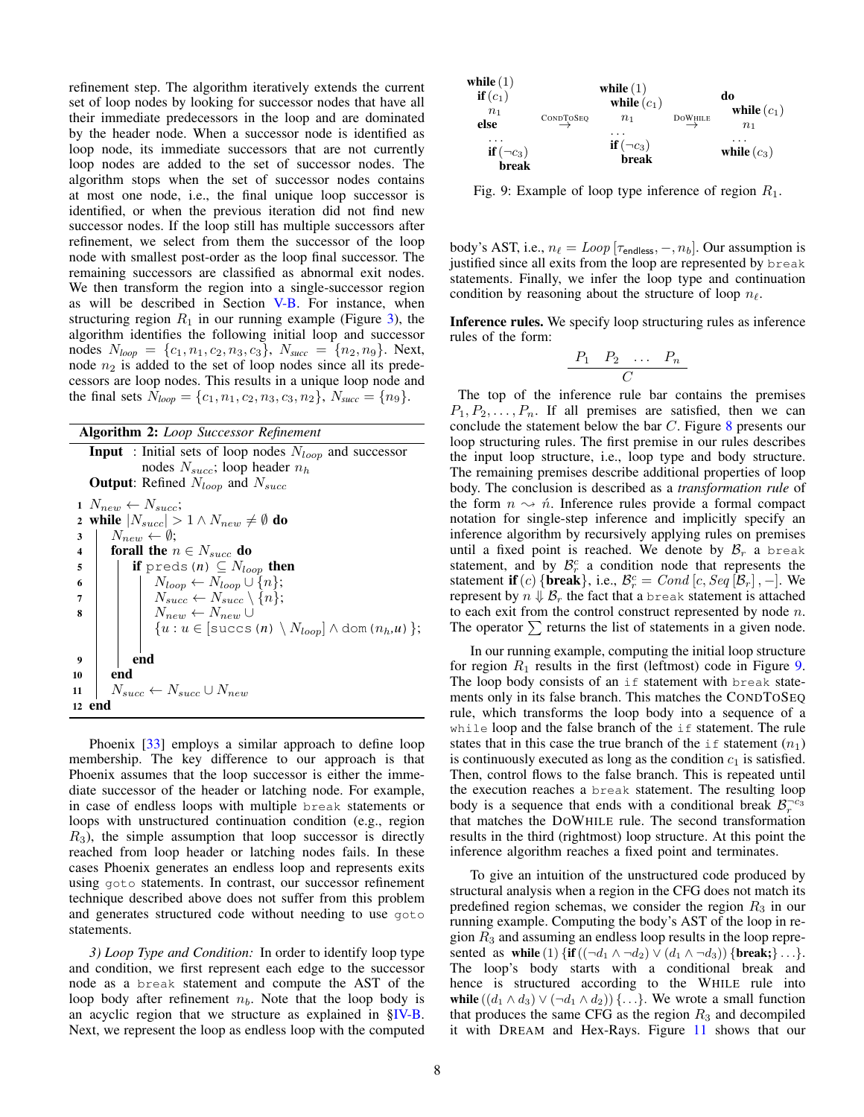refinement step. The algorithm iteratively extends the current set of loop nodes by looking for successor nodes that have all their immediate predecessors in the loop and are dominated by the header node. When a successor node is identified as loop node, its immediate successors that are not currently loop nodes are added to the set of successor nodes. The algorithm stops when the set of successor nodes contains at most one node, i.e., the final unique loop successor is identified, or when the previous iteration did not find new successor nodes. If the loop still has multiple successors after refinement, we select from them the successor of the loop node with smallest post-order as the loop final successor. The remaining successors are classified as abnormal exit nodes. We then transform the region into a single-successor region as will be described in Section [V-B.](#page-9-2) For instance, when structuring region  $R_1$  in our running example (Figure [3\)](#page-3-0), the algorithm identifies the following initial loop and successor nodes  $N_{loop} = \{c_1, n_1, c_2, n_3, c_3\}$ ,  $N_{succ} = \{n_2, n_9\}$ . Next, node  $n_2$  is added to the set of loop nodes since all its predecessors are loop nodes. This results in a unique loop node and the final sets  $N_{loop} = \{c_1, n_1, c_2, n_3, c_3, n_2\}, N_{succ} = \{n_9\}.$ 

Algorithm 2: *Loop Successor Refinement* **Input** : Initial sets of loop nodes  $N_{loop}$  and successor nodes  $N_{succ}$ ; loop header  $n_h$ **Output:** Refined  $N_{loop}$  and  $N_{succ}$ 1  $N_{new} \leftarrow N_{succ}$ ; 2 while  $|N_{succ}| > 1 \wedge N_{new} \neq \emptyset$  do  $3 \mid N_{new} \leftarrow \emptyset;$ 4 for all the  $n \in N_{succ}$  do 5 **if** preds  $(n) \subseteq N_{loop}$  then 6 | |  $N_{loop} \leftarrow N_{loop} \cup \{n\};$ 7 | |  $N_{succ} \leftarrow N_{succ} \setminus \{n\};$ 8 | |  $N_{new} \leftarrow N_{new} \cup$  $\{u : u \in [\text{success}(n) \setminus N_{loop}] \wedge \text{dom}(n_h, u)\};$  $9 \mid \cdot \cdot$  end 10 | end  $11 \mid N_{succ} \leftarrow N_{succ} \cup N_{new}$ 12 end

<span id="page-7-0"></span>Phoenix [\[33\]](#page-14-11) employs a similar approach to define loop membership. The key difference to our approach is that Phoenix assumes that the loop successor is either the immediate successor of the header or latching node. For example, in case of endless loops with multiple break statements or loops with unstructured continuation condition (e.g., region  $R_3$ ), the simple assumption that loop successor is directly reached from loop header or latching nodes fails. In these cases Phoenix generates an endless loop and represents exits using goto statements. In contrast, our successor refinement technique described above does not suffer from this problem and generates structured code without needing to use goto statements.

*3) Loop Type and Condition:* In order to identify loop type and condition, we first represent each edge to the successor node as a break statement and compute the AST of the loop body after refinement  $n_b$ . Note that the loop body is an acyclic region that we structure as explained in [§IV-B.](#page-5-0) Next, we represent the loop as endless loop with the computed

<span id="page-7-1"></span>

Fig. 9: Example of loop type inference of region  $R_1$ .

body's AST, i.e.,  $n_\ell = Loop \left[ \tau_{\text{endless}}, \tau, n_b \right]$ . Our assumption is justified since all exits from the loop are represented by break statements. Finally, we infer the loop type and continuation condition by reasoning about the structure of loop  $n_\ell$ .

Inference rules. We specify loop structuring rules as inference rules of the form:

$$
\begin{array}{cccc}\nP_1 & P_2 & \dots & P_n \\
\hline\nC & & & \n\end{array}
$$

The top of the inference rule bar contains the premises  $P_1, P_2, \ldots, P_n$ . If all premises are satisfied, then we can conclude the statement below the bar  $C$ . Figure [8](#page-8-1) presents our loop structuring rules. The first premise in our rules describes the input loop structure, i.e., loop type and body structure. The remaining premises describe additional properties of loop body. The conclusion is described as a *transformation rule* of the form  $n \sim \hat{n}$ . Inference rules provide a formal compact notation for single-step inference and implicitly specify an inference algorithm by recursively applying rules on premises until a fixed point is reached. We denote by  $\mathcal{B}_r$  a break statement, and by  $\mathcal{B}_r^c$  a condition node that represents the statement **if** (*c*) {**break**}, i.e.,  $\mathcal{B}_r^c = Cond$  [*c*, *Seq* [ $\mathcal{B}_r$ ], -]. We represent by  $n \Downarrow \mathcal{B}_r$  the fact that a break statement is attached to each exit from the control construct represented by node  $n$ . The operator  $\sum$  returns the list of statements in a given node.

In our running example, computing the initial loop structure for region  $R_1$  results in the first (leftmost) code in Figure [9.](#page-7-1) The loop body consists of an if statement with break statements only in its false branch. This matches the CONDTOSEQ rule, which transforms the loop body into a sequence of a while loop and the false branch of the if statement. The rule states that in this case the true branch of the  $if$  statement  $(n_1)$ is continuously executed as long as the condition  $c_1$  is satisfied. Then, control flows to the false branch. This is repeated until the execution reaches a break statement. The resulting loop body is a sequence that ends with a conditional break  $\mathcal{B}_r^{-c_3}$ that matches the DOWHILE rule. The second transformation results in the third (rightmost) loop structure. At this point the inference algorithm reaches a fixed point and terminates.

To give an intuition of the unstructured code produced by structural analysis when a region in the CFG does not match its predefined region schemas, we consider the region  $R_3$  in our running example. Computing the body's AST of the loop in region  $R_3$  and assuming an endless loop results in the loop represented as while (1)  $\{ \text{if} ((\neg d_1 \land \neg d_2) \lor (d_1 \land \neg d_3)) \}$  [break; }...}. The loop's body starts with a conditional break and hence is structured according to the WHILE rule into while  $((d_1 \wedge d_3) \vee (\neg d_1 \wedge d_2)) \{ \dots \}$ . We wrote a small function that produces the same CFG as the region  $R_3$  and decompiled it with DREAM and Hex-Rays. Figure [11](#page-8-2) shows that our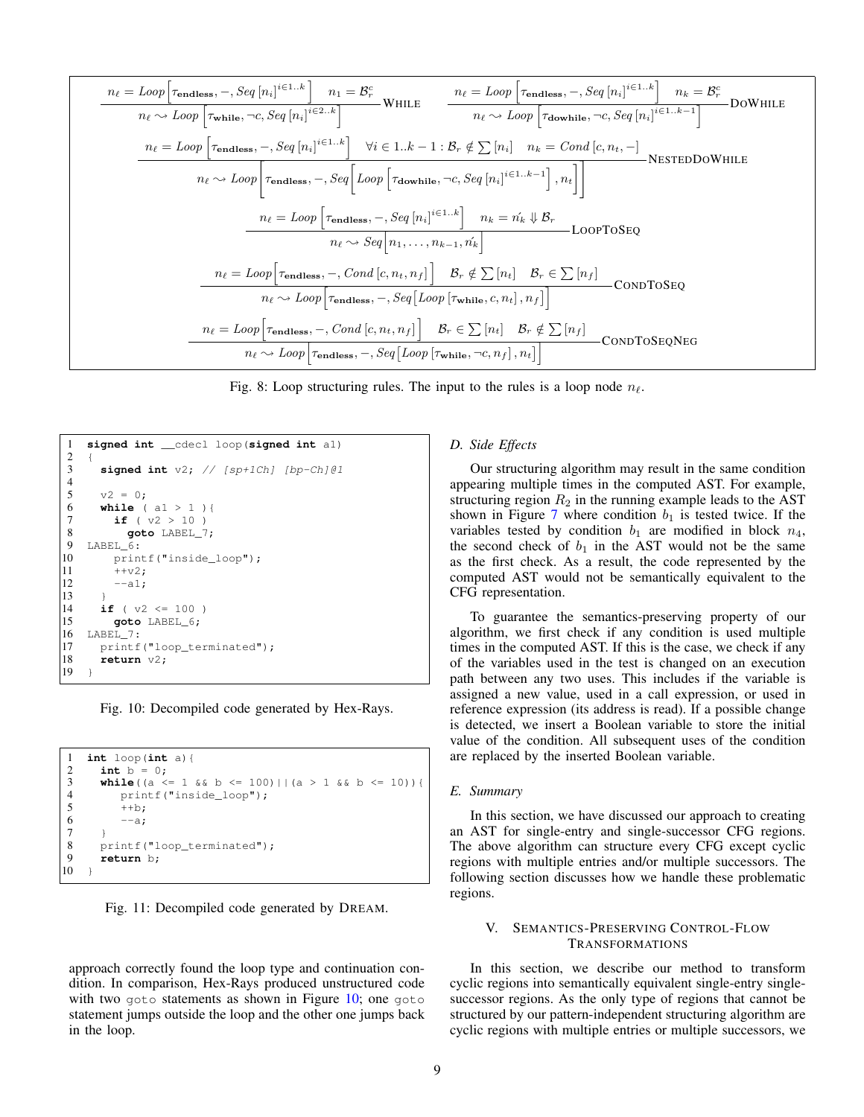<span id="page-8-1"></span>
$$
n_{\ell} = Loop\left[\tau_{\text{endless}}, -, Seq\left[n_i\right]^{i \in 1..k}\right] \quad n_1 = \mathcal{B}_r^c
$$
\n
$$
n_{\ell} \sim Loop\left[\tau_{\text{while}}, \neg c, Seq\left[n_i\right]^{i \in 2..k}\right]
$$
\nWHLE

\n
$$
n_{\ell} \sim Loop\left[\tau_{\text{notlines}}, -, Seq\left[n_i\right]^{i \in 2..k}\right]
$$
\nWHLE

\n
$$
n_{\ell} \sim Loop\left[\tau_{\text{notlines}}, -, Seg\left[n_i\right]^{i \in 1..k}\right]
$$
\n
$$
n_{\ell} \sim Loop\left[\tau_{\text{endless}}, -, Seq\left[n_i\right]^{i \in 1..k}\right]
$$
\n
$$
n_{\ell} \sim Loop\left[\tau_{\text{endless}}, -, Seg\left[Loop\left[\tau_{\text{downline}}, \neg c, Seq\left[n_i\right]^{i \in 1..k-1}\right], n_{\ell}\right]\right]
$$
\nNSTEDDOWHILE

\n
$$
n_{\ell} \sim Loop\left[\tau_{\text{endless}}, -, Seg\left[Loop\left[\tau_{\text{downline}}, \neg c, Seg\left[n_i\right]^{i \in 1..k-1}\right], n_{\ell}\right]
$$
\nNSTEDDOWHILE

\n
$$
n_{\ell} \sim Loop\left[\tau_{\text{endless}}, -, Seg\left[n_i\right]^{i \in 1..k}\right]
$$
\n
$$
n_{\ell} \sim Seq\left[n_1, \ldots, n_{k-1}, n_k'\right]
$$
\nLOOPTOSEQ

\n
$$
n_{\ell} \sim Loop\left[\tau_{\text{endless}}, -, Cond\left[c, n_t, n_f\right]\right]
$$
\n
$$
B_r \notin \sum\left[n_t\right]
$$
\nCONDTOSEQ

\n
$$
n_{\ell} \sim Loop\left[\tau_{\text{endless}}, -, Cond\left[c, n_t, n_f\right]\right]
$$
\n
$$
B_r \in \sum\left[n_t\right]
$$
\nCONDTOSEQ

\n
$$
n_{\ell} \sim Loop\left[\tau_{\text{endless}}, -, Cond\left[c, n_t, n_f\right]\right]
$$
\n
$$
B_r \in \sum\left[n_t\right]
$$

Fig. 8: Loop structuring rules. The input to the rules is a loop node  $n_\ell$ .

<span id="page-8-3"></span>

| 1             | signed int __cdecl loop(signed int al)  |
|---------------|-----------------------------------------|
| $\frac{2}{3}$ | $\overline{1}$                          |
|               | signed int $v2$ ; // [sp+1Ch] [bp-Ch]@1 |
| $\frac{4}{5}$ |                                         |
|               | $v2 = 0$ :                              |
| 6             | <b>while</b> $( a1 > 1 )$               |
| $\tau$        | if ( $v2 > 10$ )                        |
| $\,$ 8 $\,$   | goto LABEL 7;                           |
| 9             | LABEL 6:                                |
| 10            | printf("inside loop");                  |
| 11            | $++v2$ :                                |
| 12            | $--a1$ :                                |
| 13            | $\rightarrow$                           |
| 14            | if ( $v2 \le 100$ )                     |
| 15            | goto LABEL 6;                           |
| 16            | LABEL 7:                                |
| 17            | printf("loop terminated");              |
| 18            | return $v2$ ;                           |
| 19            | ł                                       |
|               |                                         |

Fig. 10: Decompiled code generated by Hex-Rays.

```
1 int loop(int a){
2 int b = 0;<br>3 while((a <
3 while((a <= 1 & b <= 100)||(a > 1 & b <= 10)){<br>4 printf("inside loop"):
4 printf("inside_loop");<br>5 ++b;
            ++b:
            --a:
rac{6}{7}8 printf("loop_terminated");<br>9 return b:
       9 return b;
10
```
Fig. 11: Decompiled code generated by DREAM.

approach correctly found the loop type and continuation condition. In comparison, Hex-Rays produced unstructured code with two goto statements as shown in Figure  $10$ ; one goto statement jumps outside the loop and the other one jumps back in the loop.

#### *D. Side Effects*

Our structuring algorithm may result in the same condition appearing multiple times in the computed AST. For example, structuring region  $R_2$  in the running example leads to the AST shown in Figure [7](#page-6-1) where condition  $b_1$  is tested twice. If the variables tested by condition  $b_1$  are modified in block  $n_4$ , the second check of  $b_1$  in the AST would not be the same as the first check. As a result, the code represented by the computed AST would not be semantically equivalent to the CFG representation.

To guarantee the semantics-preserving property of our algorithm, we first check if any condition is used multiple times in the computed AST. If this is the case, we check if any of the variables used in the test is changed on an execution path between any two uses. This includes if the variable is assigned a new value, used in a call expression, or used in reference expression (its address is read). If a possible change is detected, we insert a Boolean variable to store the initial value of the condition. All subsequent uses of the condition are replaced by the inserted Boolean variable.

## *E. Summary*

In this section, we have discussed our approach to creating an AST for single-entry and single-successor CFG regions. The above algorithm can structure every CFG except cyclic regions with multiple entries and/or multiple successors. The following section discusses how we handle these problematic regions.

#### <span id="page-8-0"></span>V. SEMANTICS-PRESERVING CONTROL-FLOW TRANSFORMATIONS

In this section, we describe our method to transform cyclic regions into semantically equivalent single-entry singlesuccessor regions. As the only type of regions that cannot be structured by our pattern-independent structuring algorithm are cyclic regions with multiple entries or multiple successors, we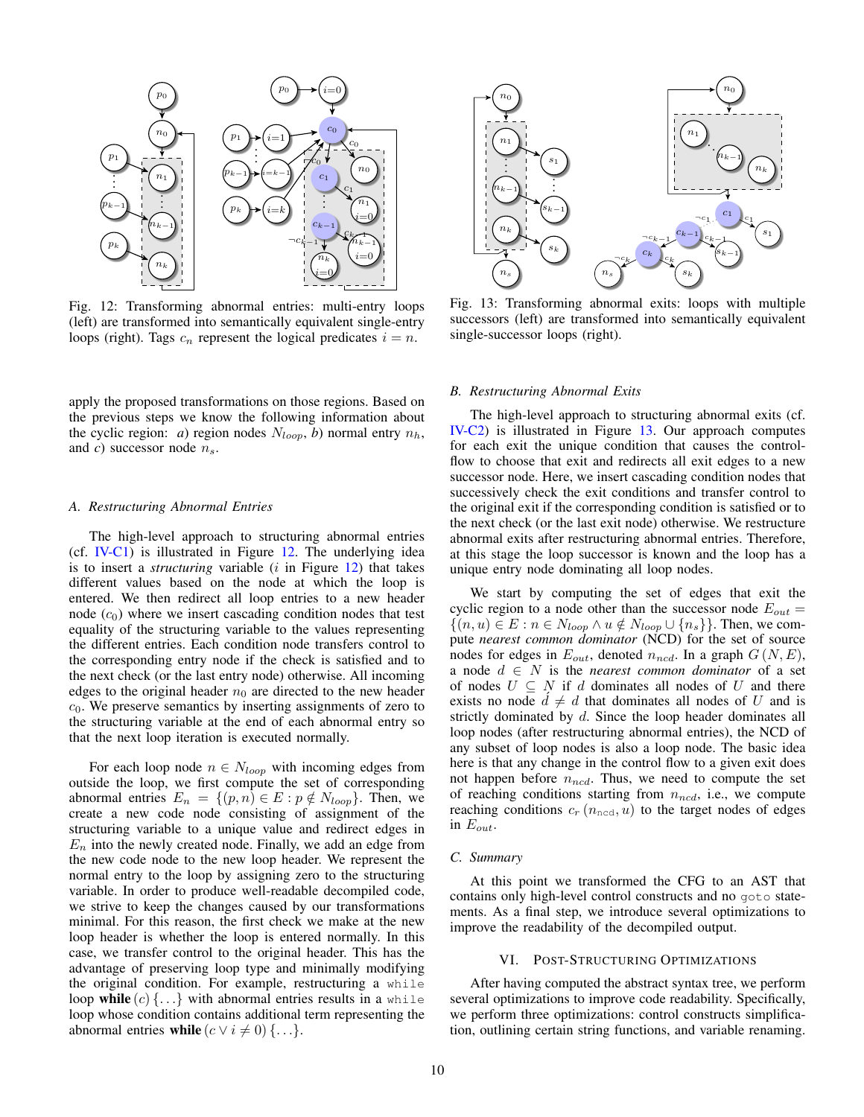<span id="page-9-3"></span>

Fig. 12: Transforming abnormal entries: multi-entry loops (left) are transformed into semantically equivalent single-entry loops (right). Tags  $c_n$  represent the logical predicates  $i = n$ .

apply the proposed transformations on those regions. Based on the previous steps we know the following information about the cyclic region: *a*) region nodes  $N_{loop}$ , *b*) normal entry  $n_h$ , and *c*) successor node  $n_s$ .

## <span id="page-9-1"></span>*A. Restructuring Abnormal Entries*

The high-level approach to structuring abnormal entries (cf. [IV-C1\)](#page-6-2) is illustrated in Figure [12.](#page-9-3) The underlying idea is to insert a *structuring* variable *(i* in Figure [12\)](#page-9-3) that takes different values based on the node at which the loop is entered. We then redirect all loop entries to a new header node  $(c_0)$  where we insert cascading condition nodes that test equality of the structuring variable to the values representing the different entries. Each condition node transfers control to the corresponding entry node if the check is satisfied and to the next check (or the last entry node) otherwise. All incoming edges to the original header  $n_0$  are directed to the new header  $c<sub>0</sub>$ . We preserve semantics by inserting assignments of zero to the structuring variable at the end of each abnormal entry so that the next loop iteration is executed normally.

For each loop node  $n \in N_{loop}$  with incoming edges from outside the loop, we first compute the set of corresponding abnormal entries  $E_n = \{(p, n) \in E : p \notin N_{loop}\}.$  Then, we create a new code node consisting of assignment of the structuring variable to a unique value and redirect edges in  $E_n$  into the newly created node. Finally, we add an edge from the new code node to the new loop header. We represent the normal entry to the loop by assigning zero to the structuring variable. In order to produce well-readable decompiled code, we strive to keep the changes caused by our transformations minimal. For this reason, the first check we make at the new loop header is whether the loop is entered normally. In this case, we transfer control to the original header. This has the advantage of preserving loop type and minimally modifying the original condition. For example, restructuring a while loop while  $(c)$  {...} with abnormal entries results in a while loop whose condition contains additional term representing the abnormal entries while  $(c \vee i \neq 0) \{ \ldots \}.$ 

<span id="page-9-4"></span>

Fig. 13: Transforming abnormal exits: loops with multiple successors (left) are transformed into semantically equivalent single-successor loops (right).

#### <span id="page-9-2"></span>*B. Restructuring Abnormal Exits*

The high-level approach to structuring abnormal exits (cf. [IV-C2\)](#page-6-3) is illustrated in Figure [13.](#page-9-4) Our approach computes for each exit the unique condition that causes the controlflow to choose that exit and redirects all exit edges to a new successor node. Here, we insert cascading condition nodes that successively check the exit conditions and transfer control to the original exit if the corresponding condition is satisfied or to the next check (or the last exit node) otherwise. We restructure abnormal exits after restructuring abnormal entries. Therefore, at this stage the loop successor is known and the loop has a unique entry node dominating all loop nodes.

We start by computing the set of edges that exit the cyclic region to a node other than the successor node  $E_{out}$  =  $\{(n, u) \in E : n \in N_{loop} \land u \notin N_{loop} \cup \{n_s\}\}.$  Then, we compute *nearest common dominator* (NCD) for the set of source nodes for edges in  $E_{out}$ , denoted  $n_{ncd}$ . In a graph  $G(N, E)$ , a node  $d \in N$  is the *nearest common dominator* of a set of nodes  $U \subseteq N$  if d dominates all nodes of U and there exists no node  $d \neq d$  that dominates all nodes of U and is strictly dominated by d. Since the loop header dominates all loop nodes (after restructuring abnormal entries), the NCD of any subset of loop nodes is also a loop node. The basic idea here is that any change in the control flow to a given exit does not happen before  $n_{ncd}$ . Thus, we need to compute the set of reaching conditions starting from  $n_{ncd}$ , i.e., we compute reaching conditions  $c_r$  ( $n_{\text{ncd}}$ ,  $u$ ) to the target nodes of edges in  $E_{out}$ .

#### *C. Summary*

At this point we transformed the CFG to an AST that contains only high-level control constructs and no goto statements. As a final step, we introduce several optimizations to improve the readability of the decompiled output.

#### VI. POST-STRUCTURING OPTIMIZATIONS

<span id="page-9-0"></span>After having computed the abstract syntax tree, we perform several optimizations to improve code readability. Specifically, we perform three optimizations: control constructs simplification, outlining certain string functions, and variable renaming.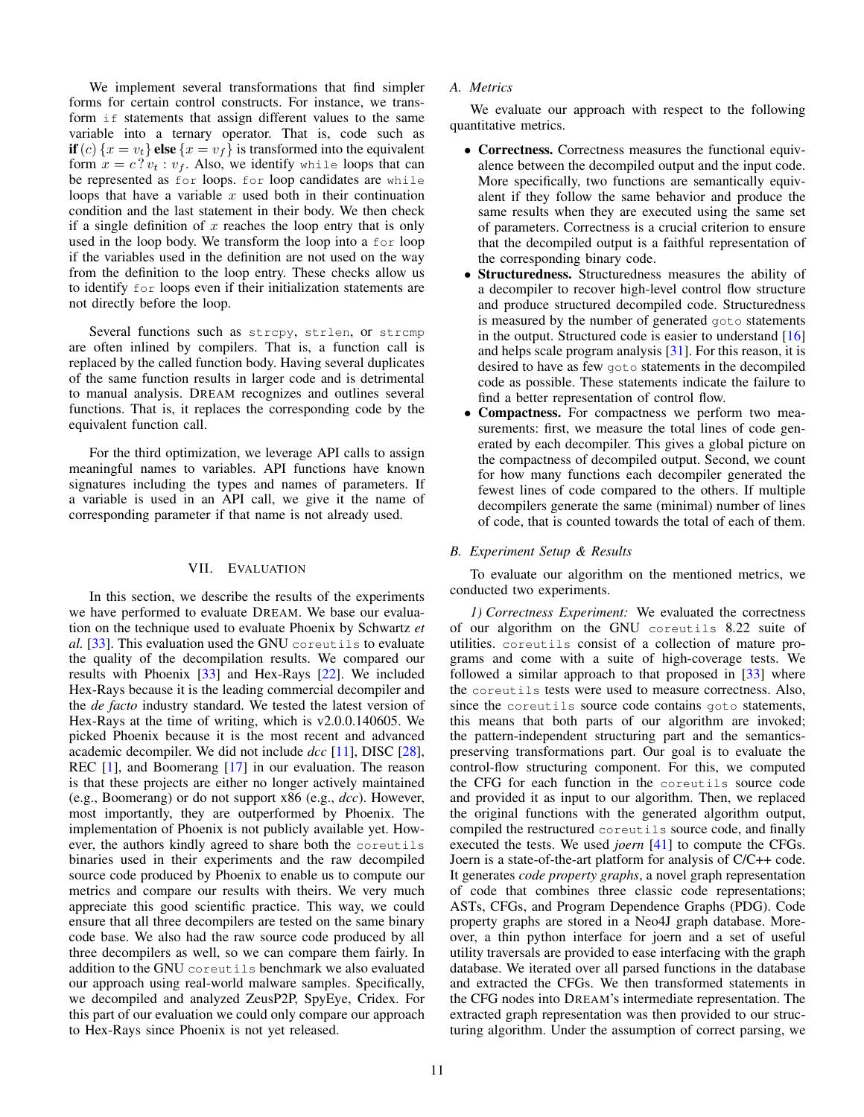We implement several transformations that find simpler forms for certain control constructs. For instance, we transform if statements that assign different values to the same variable into a ternary operator. That is, code such as if (c)  $\{x = v_t\}$  else  $\{x = v_f\}$  is transformed into the equivalent form  $x = c$ ?  $v_t : v_f$ . Also, we identify while loops that can be represented as for loops. for loop candidates are while loops that have a variable  $x$  used both in their continuation condition and the last statement in their body. We then check if a single definition of  $x$  reaches the loop entry that is only used in the loop body. We transform the loop into a for loop if the variables used in the definition are not used on the way from the definition to the loop entry. These checks allow us to identify for loops even if their initialization statements are not directly before the loop.

Several functions such as strepy, strlen, or stremp are often inlined by compilers. That is, a function call is replaced by the called function body. Having several duplicates of the same function results in larger code and is detrimental to manual analysis. DREAM recognizes and outlines several functions. That is, it replaces the corresponding code by the equivalent function call.

For the third optimization, we leverage API calls to assign meaningful names to variables. API functions have known signatures including the types and names of parameters. If a variable is used in an API call, we give it the name of corresponding parameter if that name is not already used.

#### VII. EVALUATION

In this section, we describe the results of the experiments we have performed to evaluate DREAM. We base our evaluation on the technique used to evaluate Phoenix by Schwartz *et al.* [\[33\]](#page-14-11). This evaluation used the GNU coreutils to evaluate the quality of the decompilation results. We compared our results with Phoenix [\[33\]](#page-14-11) and Hex-Rays [\[22\]](#page-14-10). We included Hex-Rays because it is the leading commercial decompiler and the *de facto* industry standard. We tested the latest version of Hex-Rays at the time of writing, which is v2.0.0.140605. We picked Phoenix because it is the most recent and advanced academic decompiler. We did not include *dcc* [\[11\]](#page-14-20), DISC [\[28\]](#page-14-21), REC [\[1\]](#page-14-22), and Boomerang [\[17\]](#page-14-23) in our evaluation. The reason is that these projects are either no longer actively maintained (e.g., Boomerang) or do not support x86 (e.g., *dcc*). However, most importantly, they are outperformed by Phoenix. The implementation of Phoenix is not publicly available yet. However, the authors kindly agreed to share both the coreutils binaries used in their experiments and the raw decompiled source code produced by Phoenix to enable us to compute our metrics and compare our results with theirs. We very much appreciate this good scientific practice. This way, we could ensure that all three decompilers are tested on the same binary code base. We also had the raw source code produced by all three decompilers as well, so we can compare them fairly. In addition to the GNU coreutils benchmark we also evaluated our approach using real-world malware samples. Specifically, we decompiled and analyzed ZeusP2P, SpyEye, Cridex. For this part of our evaluation we could only compare our approach to Hex-Rays since Phoenix is not yet released.

We evaluate our approach with respect to the following quantitative metrics.

- Correctness. Correctness measures the functional equivalence between the decompiled output and the input code. More specifically, two functions are semantically equivalent if they follow the same behavior and produce the same results when they are executed using the same set of parameters. Correctness is a crucial criterion to ensure that the decompiled output is a faithful representation of the corresponding binary code.
- Structuredness. Structuredness measures the ability of a decompiler to recover high-level control flow structure and produce structured decompiled code. Structuredness is measured by the number of generated goto statements in the output. Structured code is easier to understand [\[16\]](#page-14-14) and helps scale program analysis [\[31\]](#page-14-12). For this reason, it is desired to have as few goto statements in the decompiled code as possible. These statements indicate the failure to find a better representation of control flow.
- Compactness. For compactness we perform two measurements: first, we measure the total lines of code generated by each decompiler. This gives a global picture on the compactness of decompiled output. Second, we count for how many functions each decompiler generated the fewest lines of code compared to the others. If multiple decompilers generate the same (minimal) number of lines of code, that is counted towards the total of each of them.

# *B. Experiment Setup & Results*

To evaluate our algorithm on the mentioned metrics, we conducted two experiments.

*1) Correctness Experiment:* We evaluated the correctness of our algorithm on the GNU coreutils 8.22 suite of utilities. coreutils consist of a collection of mature programs and come with a suite of high-coverage tests. We followed a similar approach to that proposed in [\[33\]](#page-14-11) where the coreutils tests were used to measure correctness. Also, since the coreutils source code contains goto statements, this means that both parts of our algorithm are invoked; the pattern-independent structuring part and the semanticspreserving transformations part. Our goal is to evaluate the control-flow structuring component. For this, we computed the CFG for each function in the coreutils source code and provided it as input to our algorithm. Then, we replaced the original functions with the generated algorithm output, compiled the restructured coreutils source code, and finally executed the tests. We used *joern* [\[41\]](#page-14-8) to compute the CFGs. Joern is a state-of-the-art platform for analysis of C/C++ code. It generates *code property graphs*, a novel graph representation of code that combines three classic code representations; ASTs, CFGs, and Program Dependence Graphs (PDG). Code property graphs are stored in a Neo4J graph database. Moreover, a thin python interface for joern and a set of useful utility traversals are provided to ease interfacing with the graph database. We iterated over all parsed functions in the database and extracted the CFGs. We then transformed statements in the CFG nodes into DREAM's intermediate representation. The extracted graph representation was then provided to our structuring algorithm. Under the assumption of correct parsing, we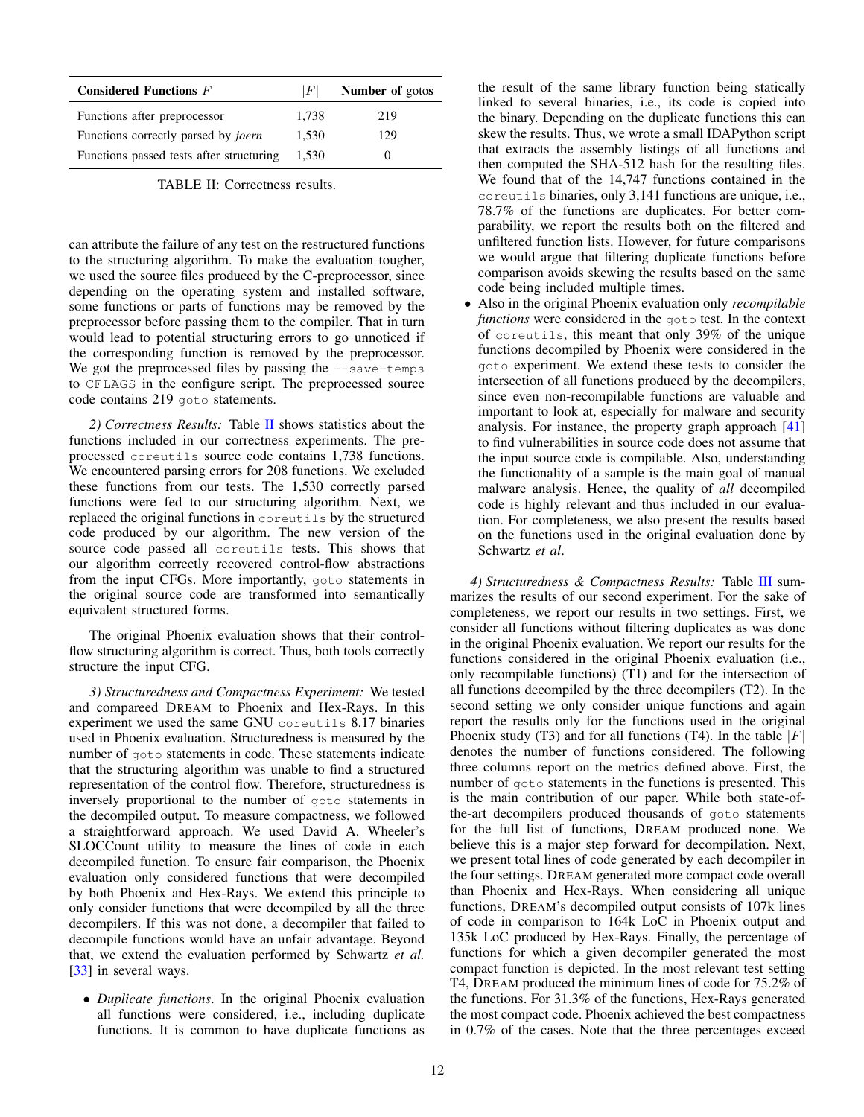<span id="page-11-0"></span>

| Considered Functions $F$                   | F     | <b>Number of gotos</b> |
|--------------------------------------------|-------|------------------------|
| Functions after preprocessor               | 1,738 | 219                    |
| Functions correctly parsed by <i>joern</i> | 1.530 | 129                    |
| Functions passed tests after structuring   | 1.530 |                        |

TABLE II: Correctness results.

can attribute the failure of any test on the restructured functions to the structuring algorithm. To make the evaluation tougher, we used the source files produced by the C-preprocessor, since depending on the operating system and installed software, some functions or parts of functions may be removed by the preprocessor before passing them to the compiler. That in turn would lead to potential structuring errors to go unnoticed if the corresponding function is removed by the preprocessor. We got the preprocessed files by passing the  $--$ save-temps to CFLAGS in the configure script. The preprocessed source code contains 219 goto statements.

*2) Correctness Results:* Table [II](#page-11-0) shows statistics about the functions included in our correctness experiments. The preprocessed coreutils source code contains 1,738 functions. We encountered parsing errors for 208 functions. We excluded these functions from our tests. The 1,530 correctly parsed functions were fed to our structuring algorithm. Next, we replaced the original functions in coreutils by the structured code produced by our algorithm. The new version of the source code passed all coreutils tests. This shows that our algorithm correctly recovered control-flow abstractions from the input CFGs. More importantly, goto statements in the original source code are transformed into semantically equivalent structured forms.

The original Phoenix evaluation shows that their controlflow structuring algorithm is correct. Thus, both tools correctly structure the input CFG.

*3) Structuredness and Compactness Experiment:* We tested and compareed DREAM to Phoenix and Hex-Rays. In this experiment we used the same GNU coreutils 8.17 binaries used in Phoenix evaluation. Structuredness is measured by the number of goto statements in code. These statements indicate that the structuring algorithm was unable to find a structured representation of the control flow. Therefore, structuredness is inversely proportional to the number of goto statements in the decompiled output. To measure compactness, we followed a straightforward approach. We used David A. Wheeler's SLOCCount utility to measure the lines of code in each decompiled function. To ensure fair comparison, the Phoenix evaluation only considered functions that were decompiled by both Phoenix and Hex-Rays. We extend this principle to only consider functions that were decompiled by all the three decompilers. If this was not done, a decompiler that failed to decompile functions would have an unfair advantage. Beyond that, we extend the evaluation performed by Schwartz *et al.* [\[33\]](#page-14-11) in several ways.

• *Duplicate functions*. In the original Phoenix evaluation all functions were considered, i.e., including duplicate functions. It is common to have duplicate functions as the result of the same library function being statically linked to several binaries, i.e., its code is copied into the binary. Depending on the duplicate functions this can skew the results. Thus, we wrote a small IDAPython script that extracts the assembly listings of all functions and then computed the SHA-512 hash for the resulting files. We found that of the 14,747 functions contained in the coreutils binaries, only 3,141 functions are unique, i.e., 78.7% of the functions are duplicates. For better comparability, we report the results both on the filtered and unfiltered function lists. However, for future comparisons we would argue that filtering duplicate functions before comparison avoids skewing the results based on the same code being included multiple times.

• Also in the original Phoenix evaluation only *recompilable functions* were considered in the goto test. In the context of coreutils, this meant that only 39% of the unique functions decompiled by Phoenix were considered in the goto experiment. We extend these tests to consider the intersection of all functions produced by the decompilers, since even non-recompilable functions are valuable and important to look at, especially for malware and security analysis. For instance, the property graph approach [\[41\]](#page-14-8) to find vulnerabilities in source code does not assume that the input source code is compilable. Also, understanding the functionality of a sample is the main goal of manual malware analysis. Hence, the quality of *all* decompiled code is highly relevant and thus included in our evaluation. For completeness, we also present the results based on the functions used in the original evaluation done by Schwartz *et al*.

*4) Structuredness & Compactness Results:* Table [III](#page-12-0) summarizes the results of our second experiment. For the sake of completeness, we report our results in two settings. First, we consider all functions without filtering duplicates as was done in the original Phoenix evaluation. We report our results for the functions considered in the original Phoenix evaluation (i.e., only recompilable functions) (T1) and for the intersection of all functions decompiled by the three decompilers (T2). In the second setting we only consider unique functions and again report the results only for the functions used in the original Phoenix study (T3) and for all functions (T4). In the table  $|F|$ denotes the number of functions considered. The following three columns report on the metrics defined above. First, the number of goto statements in the functions is presented. This is the main contribution of our paper. While both state-ofthe-art decompilers produced thousands of goto statements for the full list of functions, DREAM produced none. We believe this is a major step forward for decompilation. Next, we present total lines of code generated by each decompiler in the four settings. DREAM generated more compact code overall than Phoenix and Hex-Rays. When considering all unique functions, DREAM's decompiled output consists of 107k lines of code in comparison to 164k LoC in Phoenix output and 135k LoC produced by Hex-Rays. Finally, the percentage of functions for which a given decompiler generated the most compact function is depicted. In the most relevant test setting T4, DREAM produced the minimum lines of code for 75.2% of the functions. For 31.3% of the functions, Hex-Rays generated the most compact code. Phoenix achieved the best compactness in 0.7% of the cases. Note that the three percentages exceed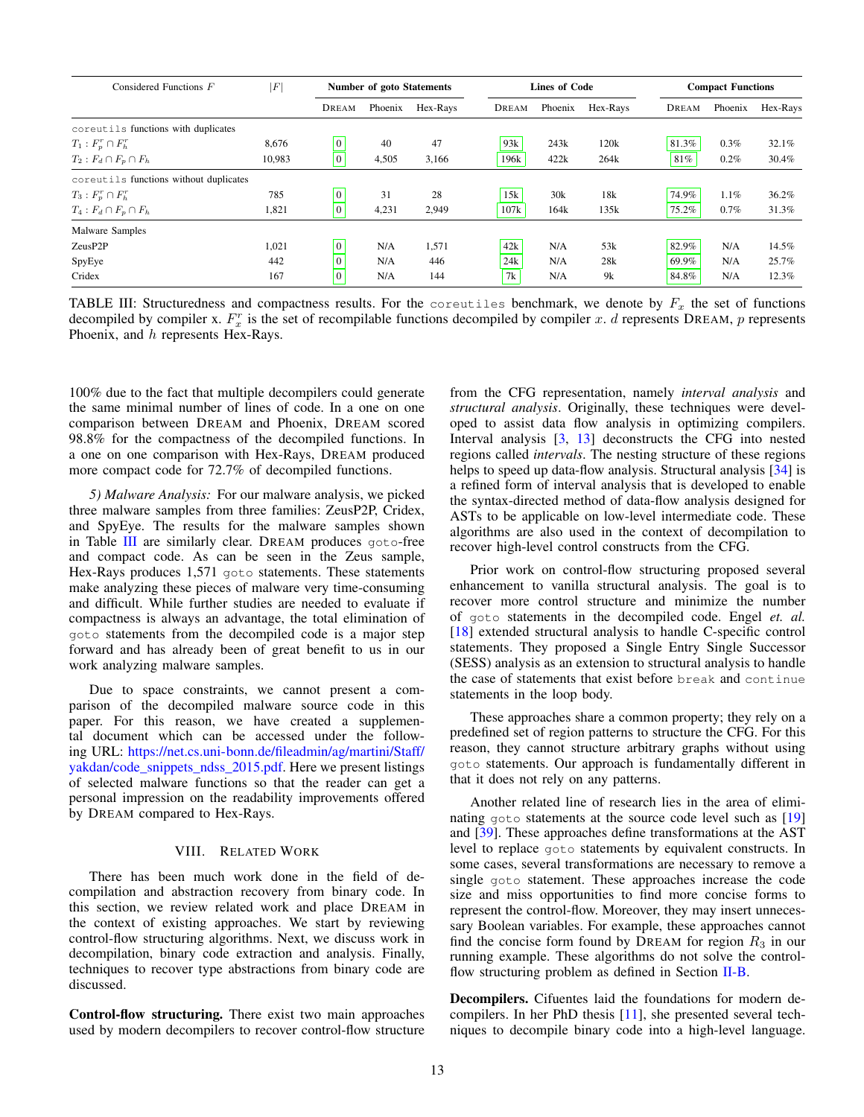<span id="page-12-0"></span>

| Considered Functions F                 | $\,F$  |                | <b>Number of goto Statements</b> |          |       | <b>Lines of Code</b> |          |       | <b>Compact Functions</b> |          |  |
|----------------------------------------|--------|----------------|----------------------------------|----------|-------|----------------------|----------|-------|--------------------------|----------|--|
|                                        |        | DREAM          | Phoenix                          | Hex-Rays | DREAM | Phoenix              | Hex-Rays | DREAM | Phoenix                  | Hex-Rays |  |
| coreutils functions with duplicates    |        |                |                                  |          |       |                      |          |       |                          |          |  |
| $T_1: F_p^r \cap F_h^r$                | 8.676  | $\mathbf{0}$   | 40                               | 47       | 93k   | 243k                 | 120k     | 81.3% | 0.3%                     | 32.1%    |  |
| $T_2: F_d \cap F_p \cap F_h$           | 10,983 | $\mathbf{0}$   | 4,505                            | 3.166    | 196k  | 422k                 | 264k     | 81%   | $0.2\%$                  | 30.4%    |  |
| coreutils functions without duplicates |        |                |                                  |          |       |                      |          |       |                          |          |  |
| $T_3: F_p^r \cap F_h^r$                | 785    | $\mathbf{0}$   | 31                               | 28       | 15k   | 30k                  | 18k      | 74.9% | 1.1%                     | 36.2%    |  |
| $T_4: F_d \cap F_p \cap F_h$           | 1,821  | $\mathbf{0}$   | 4,231                            | 2,949    | 107k  | 164k                 | 135k     | 75.2% | $0.7\%$                  | 31.3%    |  |
| Malware Samples                        |        |                |                                  |          |       |                      |          |       |                          |          |  |
| ZeusP2P                                | 1.021  | $\Omega$       | N/A                              | 1,571    | 42k   | N/A                  | 53k      | 82.9% | N/A                      | 14.5%    |  |
| SpyEye                                 | 442    | $\overline{0}$ | N/A                              | 446      | 24k   | N/A                  | 28k      | 69.9% | N/A                      | 25.7%    |  |
| Cridex                                 | 167    | $\Omega$       | N/A                              | 144      | 7k    | N/A                  | 9k       | 84.8% | N/A                      | 12.3%    |  |

TABLE III: Structuredness and compactness results. For the coreutiles benchmark, we denote by  $F_x$  the set of functions decompiled by compiler x.  $F_x^r$  is the set of recompilable functions decompiled by compiler x. d represents DREAM, p represents Phoenix, and h represents Hex-Rays.

100% due to the fact that multiple decompilers could generate the same minimal number of lines of code. In a one on one comparison between DREAM and Phoenix, DREAM scored 98.8% for the compactness of the decompiled functions. In a one on one comparison with Hex-Rays, DREAM produced more compact code for 72.7% of decompiled functions.

*5) Malware Analysis:* For our malware analysis, we picked three malware samples from three families: ZeusP2P, Cridex, and SpyEye. The results for the malware samples shown in Table [III](#page-12-0) are similarly clear. DREAM produces goto-free and compact code. As can be seen in the Zeus sample, Hex-Rays produces 1,571 goto statements. These statements make analyzing these pieces of malware very time-consuming and difficult. While further studies are needed to evaluate if compactness is always an advantage, the total elimination of goto statements from the decompiled code is a major step forward and has already been of great benefit to us in our work analyzing malware samples.

Due to space constraints, we cannot present a comparison of the decompiled malware source code in this paper. For this reason, we have created a supplemental document which can be accessed under the following URL: [https://net.cs.uni-bonn.de/fileadmin/ag/martini/Staff/](https://net.cs.uni-bonn.de/fileadmin/ag/martini/Staff/yakdan/code_snippets_ndss_2015.pdf) [yakdan/code\\_snippets\\_ndss\\_2015.pdf.](https://net.cs.uni-bonn.de/fileadmin/ag/martini/Staff/yakdan/code_snippets_ndss_2015.pdf) Here we present listings of selected malware functions so that the reader can get a personal impression on the readability improvements offered by DREAM compared to Hex-Rays.

# VIII. RELATED WORK

There has been much work done in the field of decompilation and abstraction recovery from binary code. In this section, we review related work and place DREAM in the context of existing approaches. We start by reviewing control-flow structuring algorithms. Next, we discuss work in decompilation, binary code extraction and analysis. Finally, techniques to recover type abstractions from binary code are discussed.

Control-flow structuring. There exist two main approaches used by modern decompilers to recover control-flow structure from the CFG representation, namely *interval analysis* and *structural analysis*. Originally, these techniques were developed to assist data flow analysis in optimizing compilers. Interval analysis [\[3,](#page-14-24) [13\]](#page-14-25) deconstructs the CFG into nested regions called *intervals*. The nesting structure of these regions helps to speed up data-flow analysis. Structural analysis [\[34\]](#page-14-13) is a refined form of interval analysis that is developed to enable the syntax-directed method of data-flow analysis designed for ASTs to be applicable on low-level intermediate code. These algorithms are also used in the context of decompilation to recover high-level control constructs from the CFG.

Prior work on control-flow structuring proposed several enhancement to vanilla structural analysis. The goal is to recover more control structure and minimize the number of goto statements in the decompiled code. Engel *et. al.* [\[18\]](#page-14-26) extended structural analysis to handle C-specific control statements. They proposed a Single Entry Single Successor (SESS) analysis as an extension to structural analysis to handle the case of statements that exist before break and continue statements in the loop body.

These approaches share a common property; they rely on a predefined set of region patterns to structure the CFG. For this reason, they cannot structure arbitrary graphs without using goto statements. Our approach is fundamentally different in that it does not rely on any patterns.

Another related line of research lies in the area of elimi-nating goto statements at the source code level such as [\[19\]](#page-14-27) and [\[39\]](#page-14-28). These approaches define transformations at the AST level to replace goto statements by equivalent constructs. In some cases, several transformations are necessary to remove a single goto statement. These approaches increase the code size and miss opportunities to find more concise forms to represent the control-flow. Moreover, they may insert unnecessary Boolean variables. For example, these approaches cannot find the concise form found by DREAM for region  $R_3$  in our running example. These algorithms do not solve the controlflow structuring problem as defined in Section [II-B.](#page-2-2)

Decompilers. Cifuentes laid the foundations for modern decompilers. In her PhD thesis [\[11\]](#page-14-20), she presented several techniques to decompile binary code into a high-level language.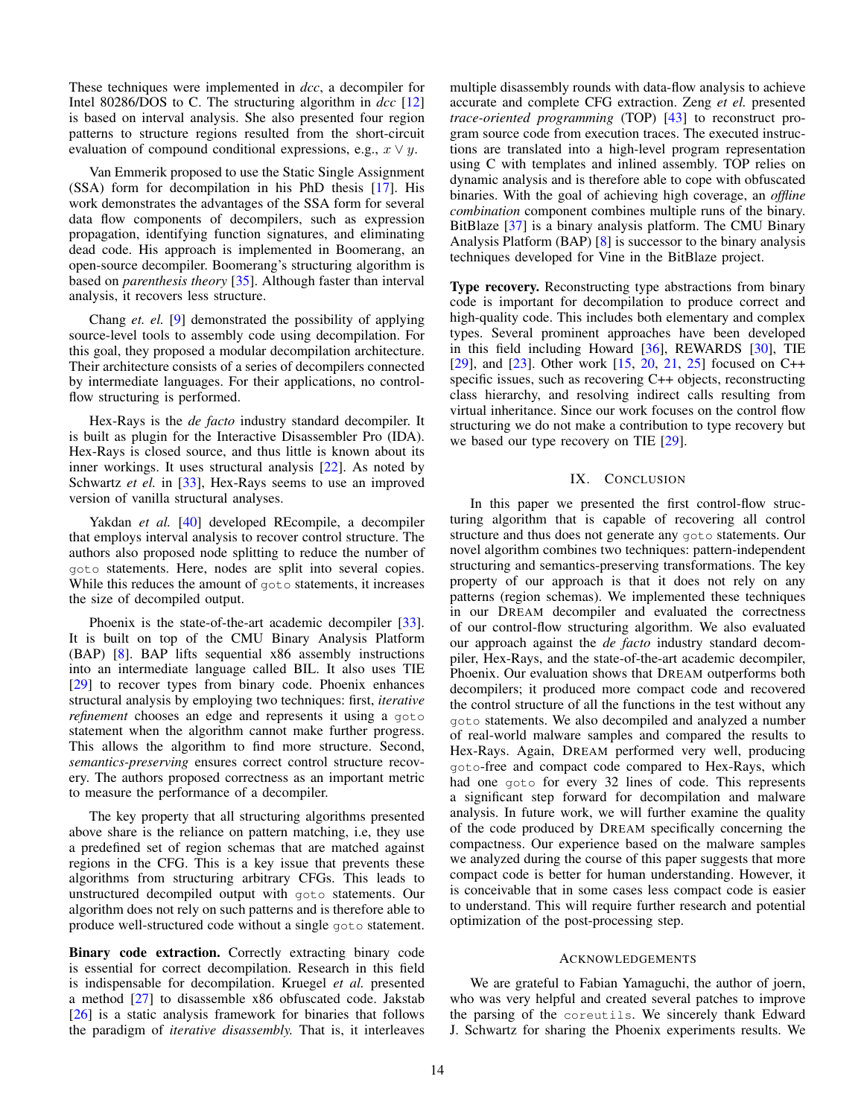These techniques were implemented in *dcc*, a decompiler for Intel 80286/DOS to C. The structuring algorithm in *dcc* [\[12\]](#page-14-29) is based on interval analysis. She also presented four region patterns to structure regions resulted from the short-circuit evaluation of compound conditional expressions, e.g.,  $x \vee y$ .

Van Emmerik proposed to use the Static Single Assignment (SSA) form for decompilation in his PhD thesis [\[17\]](#page-14-23). His work demonstrates the advantages of the SSA form for several data flow components of decompilers, such as expression propagation, identifying function signatures, and eliminating dead code. His approach is implemented in Boomerang, an open-source decompiler. Boomerang's structuring algorithm is based on *parenthesis theory* [\[35\]](#page-14-30). Although faster than interval analysis, it recovers less structure.

Chang *et. el.* [\[9\]](#page-14-31) demonstrated the possibility of applying source-level tools to assembly code using decompilation. For this goal, they proposed a modular decompilation architecture. Their architecture consists of a series of decompilers connected by intermediate languages. For their applications, no controlflow structuring is performed.

Hex-Rays is the *de facto* industry standard decompiler. It is built as plugin for the Interactive Disassembler Pro (IDA). Hex-Rays is closed source, and thus little is known about its inner workings. It uses structural analysis [\[22\]](#page-14-10). As noted by Schwartz *et el.* in [\[33\]](#page-14-11), Hex-Rays seems to use an improved version of vanilla structural analyses.

Yakdan *et al.* [\[40\]](#page-14-32) developed REcompile, a decompiler that employs interval analysis to recover control structure. The authors also proposed node splitting to reduce the number of goto statements. Here, nodes are split into several copies. While this reduces the amount of goto statements, it increases the size of decompiled output.

Phoenix is the state-of-the-art academic decompiler [\[33\]](#page-14-11). It is built on top of the CMU Binary Analysis Platform (BAP) [\[8\]](#page-14-33). BAP lifts sequential x86 assembly instructions into an intermediate language called BIL. It also uses TIE [\[29\]](#page-14-18) to recover types from binary code. Phoenix enhances structural analysis by employing two techniques: first, *iterative refinement* chooses an edge and represents it using a goto statement when the algorithm cannot make further progress. This allows the algorithm to find more structure. Second, *semantics-preserving* ensures correct control structure recovery. The authors proposed correctness as an important metric to measure the performance of a decompiler.

The key property that all structuring algorithms presented above share is the reliance on pattern matching, i.e, they use a predefined set of region schemas that are matched against regions in the CFG. This is a key issue that prevents these algorithms from structuring arbitrary CFGs. This leads to unstructured decompiled output with goto statements. Our algorithm does not rely on such patterns and is therefore able to produce well-structured code without a single goto statement.

Binary code extraction. Correctly extracting binary code is essential for correct decompilation. Research in this field is indispensable for decompilation. Kruegel *et al.* presented a method [\[27\]](#page-14-16) to disassemble x86 obfuscated code. Jakstab [\[26\]](#page-14-34) is a static analysis framework for binaries that follows the paradigm of *iterative disassembly.* That is, it interleaves multiple disassembly rounds with data-flow analysis to achieve accurate and complete CFG extraction. Zeng *et el.* presented *trace-oriented programming* (TOP) [\[43\]](#page-14-17) to reconstruct program source code from execution traces. The executed instructions are translated into a high-level program representation using C with templates and inlined assembly. TOP relies on dynamic analysis and is therefore able to cope with obfuscated binaries. With the goal of achieving high coverage, an *offline combination* component combines multiple runs of the binary. BitBlaze [\[37\]](#page-14-35) is a binary analysis platform. The CMU Binary Analysis Platform (BAP) [\[8\]](#page-14-33) is successor to the binary analysis techniques developed for Vine in the BitBlaze project.

Type recovery. Reconstructing type abstractions from binary code is important for decompilation to produce correct and high-quality code. This includes both elementary and complex types. Several prominent approaches have been developed in this field including Howard [\[36\]](#page-14-36), REWARDS [\[30\]](#page-14-37), TIE [\[29\]](#page-14-18), and [\[23\]](#page-14-38). Other work [\[15,](#page-14-39) [20,](#page-14-40) [21,](#page-14-41) [25\]](#page-14-42) focused on C++ specific issues, such as recovering C++ objects, reconstructing class hierarchy, and resolving indirect calls resulting from virtual inheritance. Since our work focuses on the control flow structuring we do not make a contribution to type recovery but we based our type recovery on TIE [\[29\]](#page-14-18).

#### IX. CONCLUSION

In this paper we presented the first control-flow structuring algorithm that is capable of recovering all control structure and thus does not generate any goto statements. Our novel algorithm combines two techniques: pattern-independent structuring and semantics-preserving transformations. The key property of our approach is that it does not rely on any patterns (region schemas). We implemented these techniques in our DREAM decompiler and evaluated the correctness of our control-flow structuring algorithm. We also evaluated our approach against the *de facto* industry standard decompiler, Hex-Rays, and the state-of-the-art academic decompiler, Phoenix. Our evaluation shows that DREAM outperforms both decompilers; it produced more compact code and recovered the control structure of all the functions in the test without any goto statements. We also decompiled and analyzed a number of real-world malware samples and compared the results to Hex-Rays. Again, DREAM performed very well, producing goto-free and compact code compared to Hex-Rays, which had one goto for every 32 lines of code. This represents a significant step forward for decompilation and malware analysis. In future work, we will further examine the quality of the code produced by DREAM specifically concerning the compactness. Our experience based on the malware samples we analyzed during the course of this paper suggests that more compact code is better for human understanding. However, it is conceivable that in some cases less compact code is easier to understand. This will require further research and potential optimization of the post-processing step.

#### ACKNOWLEDGEMENTS

We are grateful to Fabian Yamaguchi, the author of joern, who was very helpful and created several patches to improve the parsing of the coreutils. We sincerely thank Edward J. Schwartz for sharing the Phoenix experiments results. We